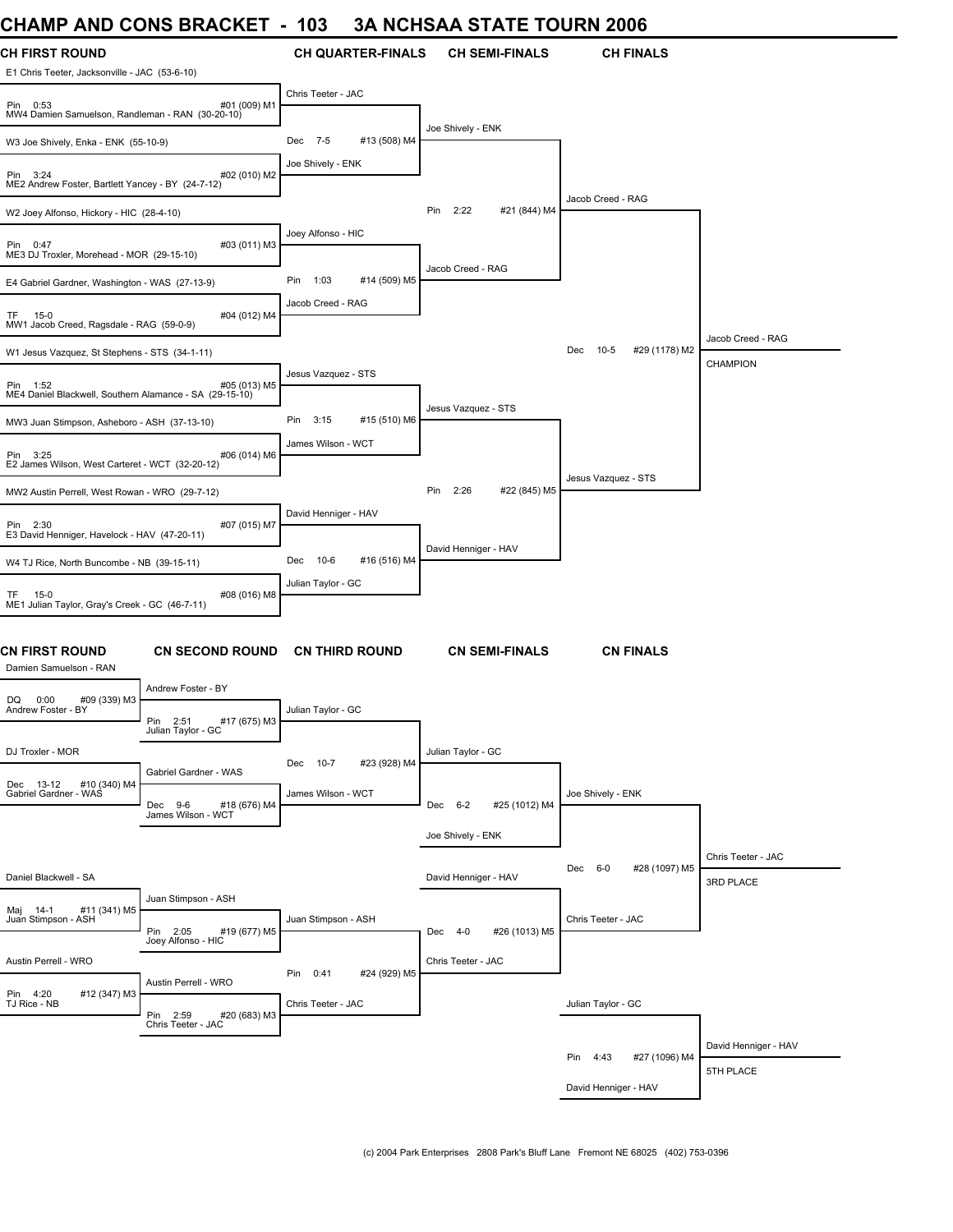### **CHAMP AND CONS BRACKET - 103 3A NCHSAA STATE TOURN 2006**

| <b>UIMINE AND UUNJ DRAUNLI</b>                                         |                                                   | טטו                      |              |                      |                       | JA NUTJAA STATE TUUNN 2000     |                      |
|------------------------------------------------------------------------|---------------------------------------------------|--------------------------|--------------|----------------------|-----------------------|--------------------------------|----------------------|
| <b>CH FIRST ROUND</b><br>E1 Chris Teeter, Jacksonville - JAC (53-6-10) |                                                   | <b>CH QUARTER-FINALS</b> |              |                      | <b>CH SEMI-FINALS</b> | <b>CH FINALS</b>               |                      |
| Pin 0:53<br>MW4 Damien Samuelson, Randleman - RAN (30-20-10)           | #01 (009) M1                                      | Chris Teeter - JAC       |              | Joe Shively - ENK    |                       |                                |                      |
| W3 Joe Shively, Enka - ENK (55-10-9)                                   |                                                   | Dec 7-5                  | #13 (508) M4 |                      |                       |                                |                      |
| Pin 3:24<br>ME2 Andrew Foster, Bartlett Yancey - BY (24-7-12)          | #02 (010) M2                                      | Joe Shively - ENK        |              |                      |                       |                                |                      |
| W2 Joey Alfonso, Hickory - HIC (28-4-10)                               |                                                   |                          |              | Pin<br>2:22          | #21 (844) M4          | Jacob Creed - RAG              |                      |
| Pin 0:47<br>ME3 DJ Troxler, Morehead - MOR (29-15-10)                  | #03 (011) M3                                      | Joey Alfonso - HIC       |              |                      |                       |                                |                      |
| E4 Gabriel Gardner, Washington - WAS (27-13-9)                         |                                                   | Pin<br>1:03              | #14 (509) M5 | Jacob Creed - RAG    |                       |                                |                      |
| TF 15-0<br>MW1 Jacob Creed, Ragsdale - RAG (59-0-9)                    | #04 (012) M4                                      | Jacob Creed - RAG        |              |                      |                       |                                |                      |
| W1 Jesus Vazquez, St Stephens - STS (34-1-11)                          |                                                   |                          |              |                      |                       | Dec<br>$10-5$<br>#29 (1178) M2 | Jacob Creed - RAG    |
|                                                                        |                                                   | Jesus Vazquez - STS      |              |                      |                       |                                | <b>CHAMPION</b>      |
| Pin 1:52<br>ME4 Daniel Blackwell, Southern Alamance - SA (29-15-10)    | #05 (013) M5                                      |                          |              |                      |                       |                                |                      |
| MW3 Juan Stimpson, Asheboro - ASH (37-13-10)                           |                                                   | Pin<br>3:15              | #15 (510) M6 | Jesus Vazquez - STS  |                       |                                |                      |
|                                                                        |                                                   | James Wilson - WCT       |              |                      |                       |                                |                      |
| Pin 3:25<br>E2 James Wilson, West Carteret - WCT (32-20-12)            | #06 (014) M6                                      |                          |              |                      |                       |                                |                      |
| MW2 Austin Perrell, West Rowan - WRO (29-7-12)                         |                                                   |                          |              | Pin<br>2:26          | #22 (845) M5          | Jesus Vazquez - STS            |                      |
|                                                                        |                                                   | David Henniger - HAV     |              |                      |                       |                                |                      |
| Pin 2:30<br>E3 David Henniger, Havelock - HAV (47-20-11)               | #07 (015) M7                                      |                          |              |                      |                       |                                |                      |
| W4 TJ Rice, North Buncombe - NB (39-15-11)                             |                                                   | Dec<br>10-6              | #16 (516) M4 | David Henniger - HAV |                       |                                |                      |
|                                                                        |                                                   | Julian Taylor - GC       |              |                      |                       |                                |                      |
| TF 15-0<br>ME1 Julian Taylor, Gray's Creek - GC (46-7-11)              | #08 (016) M8                                      |                          |              |                      |                       |                                |                      |
| CN FIRST ROUND<br>Damien Samuelson - RAN                               | <b>CN SECOND ROUND</b>                            | <b>CN THIRD ROUND</b>    |              |                      | <b>CN SEMI-FINALS</b> | <b>CN FINALS</b>               |                      |
|                                                                        | Andrew Foster - BY                                |                          |              |                      |                       |                                |                      |
| DQ 0:00<br>#09 (339) M3<br>Andrew Foster - BY                          | Pin<br>2:51<br>#17 (675) M3<br>Julian Taylor - GC | Julian Taylor - GC       |              |                      |                       |                                |                      |
| DJ Troxler - MOR                                                       |                                                   | Dec 10-7                 | #23 (928) M4 | Julian Taylor - GC   |                       |                                |                      |
| #10 (340) M4<br>Dec 13-12                                              | Gabriel Gardner - WAS                             |                          |              |                      |                       |                                |                      |
| Gabriel Gardner - WAS                                                  | Dec 9-6<br>#18 (676) M4<br>James Wilson - WCT     | James Wilson - WCT       |              | Dec 6-2              | #25 (1012) M4         | Joe Shively - ENK              |                      |
|                                                                        |                                                   |                          |              | Joe Shively - ENK    |                       |                                |                      |
|                                                                        |                                                   |                          |              |                      |                       |                                | Chris Teeter - JAC   |
| Daniel Blackwell - SA                                                  |                                                   |                          |              | David Henniger - HAV |                       | Dec 6-0<br>#28 (1097) M5       | 3RD PLACE            |
|                                                                        | Juan Stimpson - ASH                               |                          |              |                      |                       |                                |                      |
| #11 (341) M5<br>Maj 14-1<br>Juan Stimpson - ASH                        | Pin 2:05<br>#19 (677) M5<br>Joey Alfonso - HIC    | Juan Stimpson - ASH      |              | Dec 4-0              | #26 (1013) M5         | Chris Teeter - JAC             |                      |
| Austin Perrell - WRO                                                   |                                                   | Pin 0:41                 | #24 (929) M5 | Chris Teeter - JAC   |                       |                                |                      |
| Pin 4:20<br>#12 (347) M3                                               | Austin Perrell - WRO                              |                          |              |                      |                       |                                |                      |
| TJ Rice - NB                                                           | Pin 2:59<br>#20 (683) M3                          | Chris Teeter - JAC       |              |                      |                       | Julian Taylor - GC             |                      |
|                                                                        | Chris Teeter - JAC                                |                          |              |                      |                       |                                |                      |
|                                                                        |                                                   |                          |              |                      |                       | Pin 4:43<br>#27 (1096) M4      | David Henniger - HAV |
|                                                                        |                                                   |                          |              |                      |                       | David Henniger - HAV           | 5TH PLACE            |
|                                                                        |                                                   |                          |              |                      |                       |                                |                      |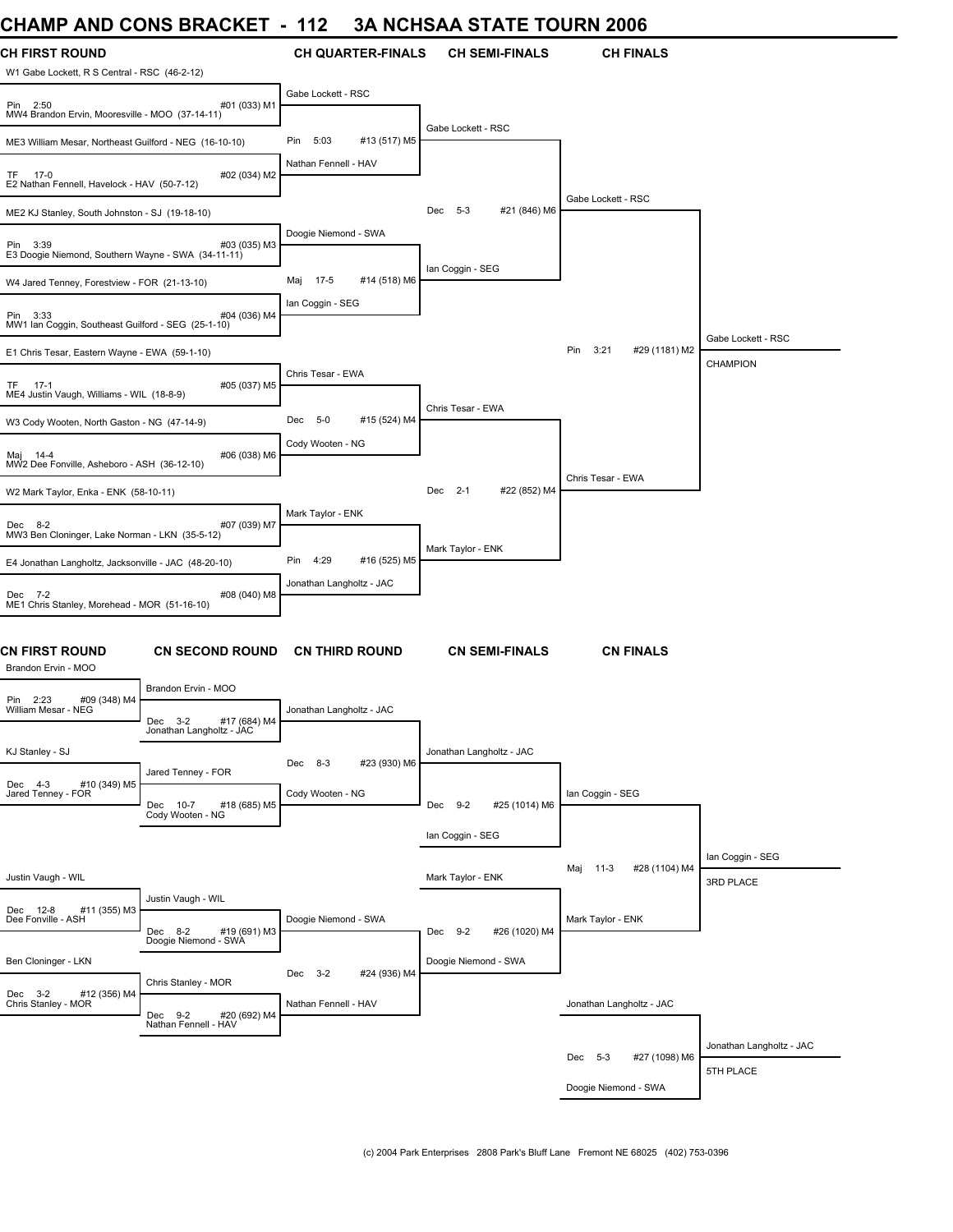# **CHAMP AND CONS BRACKET - 112 3A NCHSAA STATE TOURN 2006**

| CHAMP AND CONS BRACKET                                         |                                                     | 112<br>$\blacksquare$          | 3A NGHSAA STATE TOUKN 2006 |                                |                               |
|----------------------------------------------------------------|-----------------------------------------------------|--------------------------------|----------------------------|--------------------------------|-------------------------------|
| <b>CH FIRST ROUND</b>                                          |                                                     | <b>CH QUARTER-FINALS</b>       | <b>CH SEMI-FINALS</b>      | <b>CH FINALS</b>               |                               |
| W1 Gabe Lockett, R S Central - RSC (46-2-12)                   |                                                     |                                |                            |                                |                               |
| Pin 2:50<br>MW4 Brandon Ervin, Mooresville - MOO (37-14-11)    | #01 (033) M1                                        | Gabe Lockett - RSC             |                            |                                |                               |
| ME3 William Mesar, Northeast Guilford - NEG (16-10-10)         |                                                     | 5:03<br>#13 (517) M5<br>Pin    | Gabe Lockett - RSC         |                                |                               |
| TF 17-0<br>E2 Nathan Fennell, Havelock - HAV (50-7-12)         | #02 (034) M2                                        | Nathan Fennell - HAV           |                            |                                |                               |
| ME2 KJ Stanley, South Johnston - SJ (19-18-10)                 |                                                     |                                | Dec 5-3<br>#21 (846) M6    | Gabe Lockett - RSC             |                               |
| Pin 3:39<br>E3 Doogie Niemond, Southern Wayne - SWA (34-11-11) | #03 (035) M3                                        | Doogie Niemond - SWA           |                            |                                |                               |
| W4 Jared Tenney, Forestview - FOR (21-13-10)                   |                                                     | Maj 17-5<br>#14 (518) M6       | Ian Coggin - SEG           |                                |                               |
| Pin 3:33<br>MW1 Ian Coggin, Southeast Guilford - SEG (25-1-10) | #04 (036) M4                                        | Ian Coggin - SEG               |                            |                                |                               |
| E1 Chris Tesar, Eastern Wayne - EWA (59-1-10)                  |                                                     |                                |                            | Pin<br>3:21<br>#29 (1181) M2   | Gabe Lockett - RSC            |
| TF 17-1<br>ME4 Justin Vaugh, Williams - WIL (18-8-9)           | #05 (037) M5                                        | Chris Tesar - EWA              |                            |                                | CHAMPION                      |
| W3 Cody Wooten, North Gaston - NG (47-14-9)                    |                                                     | $5 - 0$<br>#15 (524) M4<br>Dec | Chris Tesar - EWA          |                                |                               |
| Maj 14-4<br>MW2 Dee Fonville, Asheboro - ASH (36-12-10)        | #06 (038) M6                                        | Cody Wooten - NG               |                            |                                |                               |
| W2 Mark Taylor, Enka - ENK (58-10-11)                          |                                                     |                                | Dec 2-1<br>#22 (852) M4    | Chris Tesar - EWA              |                               |
| Dec 8-2<br>MW3 Ben Cloninger, Lake Norman - LKN (35-5-12)      | #07 (039) M7                                        | Mark Taylor - ENK              |                            |                                |                               |
| E4 Jonathan Langholtz, Jacksonville - JAC (48-20-10)           |                                                     | 4:29<br>#16 (525) M5<br>Pin    | Mark Taylor - ENK          |                                |                               |
| Dec 7-2<br>ME1 Chris Stanley, Morehead - MOR (51-16-10)        | #08 (040) M8                                        | Jonathan Langholtz - JAC       |                            |                                |                               |
| CN FIRST ROUND<br>Brandon Ervin - MOO                          | <b>CN SECOND ROUND</b>                              | <b>CN THIRD ROUND</b>          | <b>CN SEMI-FINALS</b>      | <b>CN FINALS</b>               |                               |
| Pin 2:23<br>#09 (348) M4                                       | Brandon Ervin - MOO                                 |                                |                            |                                |                               |
| William Mesar - NEG                                            | Dec 3-2<br>#17 (684) M4<br>Jonathan Langholtz - JAC | Jonathan Langholtz - JAC       |                            |                                |                               |
| KJ Stanley - SJ                                                | Jared Tenney - FOR                                  | Dec 8-3<br>#23 (930) M6        | Jonathan Langholtz - JAC   |                                |                               |
| Dec 4-3<br>#10 (349) M5<br>Jared Tenney - FOR                  | #18 (685) M5<br>Dec<br>$10 - 7$<br>Cody Wooten - NG | Cody Wooten - NG               | Dec 9-2<br>#25 (1014) M6   | Ian Coggin - SEG               |                               |
|                                                                |                                                     |                                | Ian Coggin - SEG           |                                |                               |
| Justin Vaugh - WIL                                             |                                                     |                                | Mark Taylor - ENK          | #28 (1104) M4<br>$11-3$<br>Maj | lan Coggin - SEG<br>3RD PLACE |
| Dec 12-8<br>#11 (355) M3                                       | Justin Vaugh - WIL                                  |                                |                            |                                |                               |
| Dee Fonville - ASH                                             | Dec 8-2<br>#19 (691) M3<br>Doogie Niemond - SWA     | Doogie Niemond - SWA           | #26 (1020) M4<br>Dec 9-2   | Mark Taylor - ENK              |                               |
| Ben Cloninger - LKN                                            |                                                     | $3 - 2$<br>#24 (936) M4<br>Dec | Doogie Niemond - SWA       |                                |                               |
| Dec 3-2<br>#12 (356) M4<br>Chris Stanley - MOR                 | Chris Stanley - MOR<br>Dec 9-2<br>#20 (692) M4      | Nathan Fennell - HAV           |                            | Jonathan Langholtz - JAC       |                               |
|                                                                | Nathan Fennell - HAV                                |                                |                            |                                | Jonathan Langholtz - JAC      |
|                                                                |                                                     |                                |                            | #27 (1098) M6<br>Dec 5-3       | 5TH PLACE                     |
|                                                                |                                                     |                                |                            | Doogie Niemond - SWA           |                               |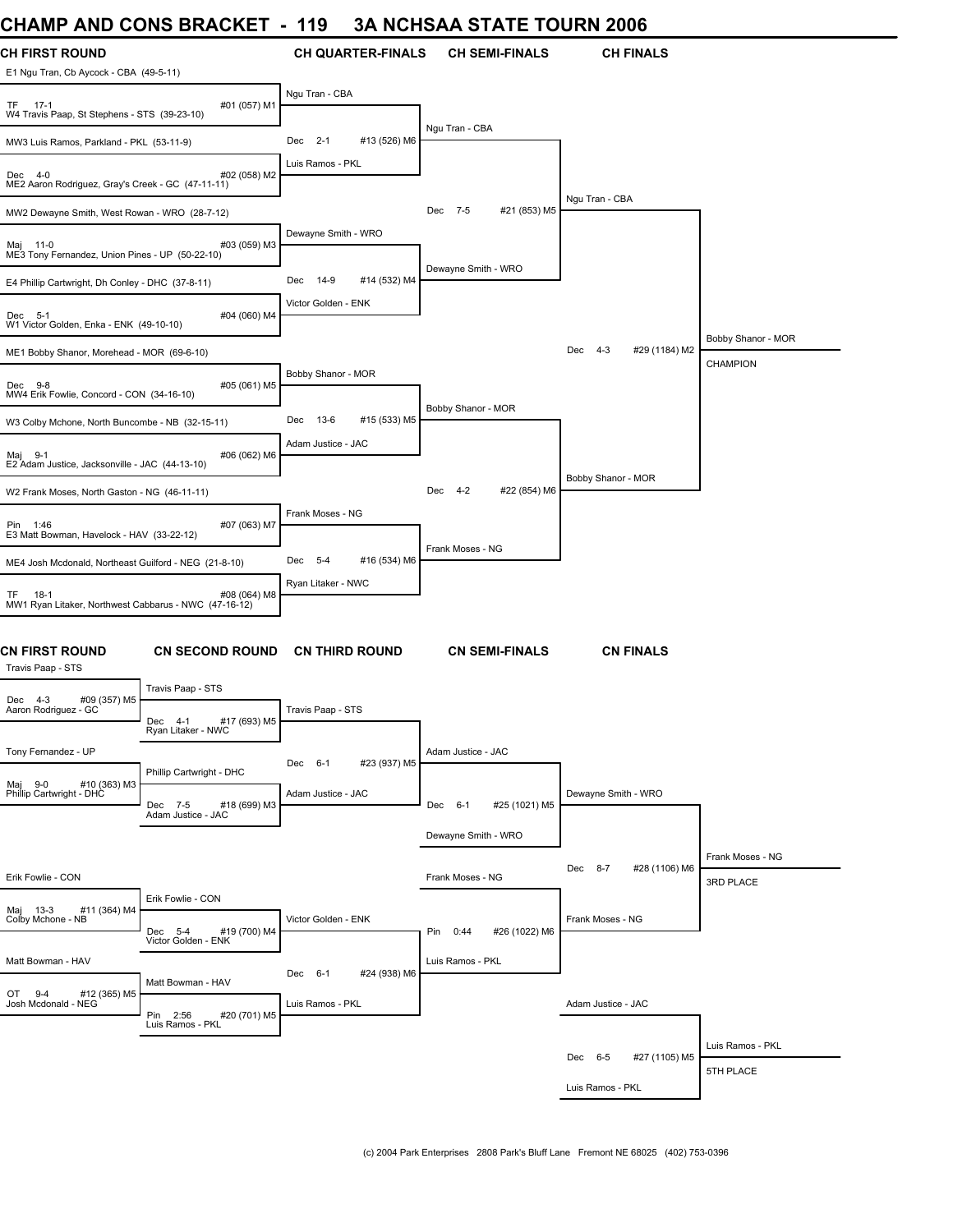#### **CHAMP AND CONS BRACKET - 119 3A NCHSAA STATE TOURN 2006**

| VIIAIVIF AIVU<br><b>UUINU DINAUNLI</b>                                               |                          | I I J                 |                          |                     |                       | JA NUTJAA STATE TUUNN 2000      |                               |
|--------------------------------------------------------------------------------------|--------------------------|-----------------------|--------------------------|---------------------|-----------------------|---------------------------------|-------------------------------|
| <b>CH FIRST ROUND</b><br>E1 Ngu Tran, Cb Aycock - CBA (49-5-11)                      |                          |                       | <b>CH QUARTER-FINALS</b> |                     | <b>CH SEMI-FINALS</b> | <b>CH FINALS</b>                |                               |
| TF 17-1<br>W4 Travis Paap, St Stephens - STS (39-23-10)                              | #01 (057) M1             | Ngu Tran - CBA        |                          |                     |                       |                                 |                               |
| MW3 Luis Ramos, Parkland - PKL (53-11-9)                                             |                          | Dec<br>$2 - 1$        | #13 (526) M6             | Ngu Tran - CBA      |                       |                                 |                               |
| Dec 4-0<br>ME2 Aaron Rodriguez, Gray's Creek - GC (47-11-11)                         | #02 (058) M2             | Luis Ramos - PKL      |                          |                     |                       |                                 |                               |
| MW2 Dewayne Smith, West Rowan - WRO (28-7-12)                                        |                          |                       |                          | Dec<br>7-5          | #21 (853) M5          | Ngu Tran - CBA                  |                               |
| Maj 11-0<br>ME3 Tony Fernandez, Union Pines - UP (50-22-10)                          | #03 (059) M3             | Dewayne Smith - WRO   |                          |                     |                       |                                 |                               |
| E4 Phillip Cartwright, Dh Conley - DHC (37-8-11)                                     |                          | Dec<br>14-9           | #14 (532) M4             | Dewayne Smith - WRO |                       |                                 |                               |
| Dec 5-1<br>W1 Victor Golden, Enka - ENK (49-10-10)                                   | #04 (060) M4             | Victor Golden - ENK   |                          |                     |                       |                                 |                               |
| ME1 Bobby Shanor, Morehead - MOR (69-6-10)                                           |                          |                       |                          |                     |                       | Dec<br>$4 - 3$<br>#29 (1184) M2 | Bobby Shanor - MOR            |
| Dec 9-8<br>MW4 Erik Fowlie, Concord - CON (34-16-10)                                 | #05 (061) M5             | Bobby Shanor - MOR    |                          |                     |                       |                                 | CHAMPION                      |
| W3 Colby Mchone, North Buncombe - NB (32-15-11)                                      |                          | Dec<br>13-6           | #15 (533) M5             | Bobby Shanor - MOR  |                       |                                 |                               |
| Maj 9-1<br>E2 Adam Justice, Jacksonville - JAC (44-13-10)                            | #06 (062) M6             | Adam Justice - JAC    |                          |                     |                       |                                 |                               |
| W2 Frank Moses, North Gaston - NG (46-11-11)                                         |                          |                       |                          | Dec<br>$4-2$        | #22 (854) M6          | Bobby Shanor - MOR              |                               |
| Pin 1:46<br>E3 Matt Bowman, Havelock - HAV (33-22-12)                                | #07 (063) M7             | Frank Moses - NG      |                          |                     |                       |                                 |                               |
| ME4 Josh Mcdonald, Northeast Guilford - NEG (21-8-10)                                |                          | Dec 5-4               | #16 (534) M6             | Frank Moses - NG    |                       |                                 |                               |
| TF.<br>18-1<br>MW1 Ryan Litaker, Northwest Cabbarus - NWC (47-16-12)                 | #08 (064) M8             | Ryan Litaker - NWC    |                          |                     |                       |                                 |                               |
| CN FIRST ROUND<br>Travis Paap - STS                                                  | <b>CN SECOND ROUND</b>   | <b>CN THIRD ROUND</b> |                          |                     | <b>CN SEMI-FINALS</b> | <b>CN FINALS</b>                |                               |
| Travis Paap - STS<br>#09 (357) M5<br>Dec 4-3                                         |                          |                       |                          |                     |                       |                                 |                               |
| Aaron Rodriguez - GC<br>Dec 4-1<br>Ryan Litaker - NWC                                | #17 (693) M5             | Travis Paap - STS     |                          |                     |                       |                                 |                               |
| Tony Fernandez - UP                                                                  | Phillip Cartwright - DHC | Dec 6-1               | #23 (937) M5             | Adam Justice - JAC  |                       |                                 |                               |
| #10 (363) M3<br>Maj 9-0<br>Philip Cartwright - DHC<br>Dec 7-5<br>Adam Justice - JAC  | #18 (699) M3             | Adam Justice - JAC    |                          | Dec 6-1             | #25 (1021) M5         | Dewayne Smith - WRO             |                               |
|                                                                                      |                          |                       |                          | Dewayne Smith - WRO |                       |                                 |                               |
| Erik Fowlie - CON                                                                    |                          |                       |                          | Frank Moses - NG    |                       | Dec<br>$8 - 7$<br>#28 (1106) M6 | Frank Moses - NG<br>3RD PLACE |
| Erik Fowlie - CON<br>Maj 13-3<br>#11 (364) M4                                        |                          |                       |                          |                     |                       |                                 |                               |
| Colby Mchone - NB<br>Dec 5-4<br>Victor Golden - ENK                                  | #19 (700) M4             | Victor Golden - ENK   |                          | Pin 0:44            | #26 (1022) M6         | Frank Moses - NG                |                               |
| Matt Bowman - HAV<br>Matt Bowman - HAV                                               |                          | Dec 6-1               | #24 (938) M6             | Luis Ramos - PKL    |                       |                                 |                               |
| $9 - 4$<br>OT<br>#12 (365) M5<br>Josh Mcdonald - NEG<br>Pin 2:56<br>Luis Ramos - PKL | #20 (701) M5             | Luis Ramos - PKL      |                          |                     |                       | Adam Justice - JAC              |                               |
|                                                                                      |                          |                       |                          |                     |                       |                                 | Luis Ramos - PKL              |
|                                                                                      |                          |                       |                          |                     |                       | Dec 6-5<br>#27 (1105) M5        | 5TH PLACE                     |
|                                                                                      |                          |                       |                          |                     |                       | Luis Ramos - PKL                |                               |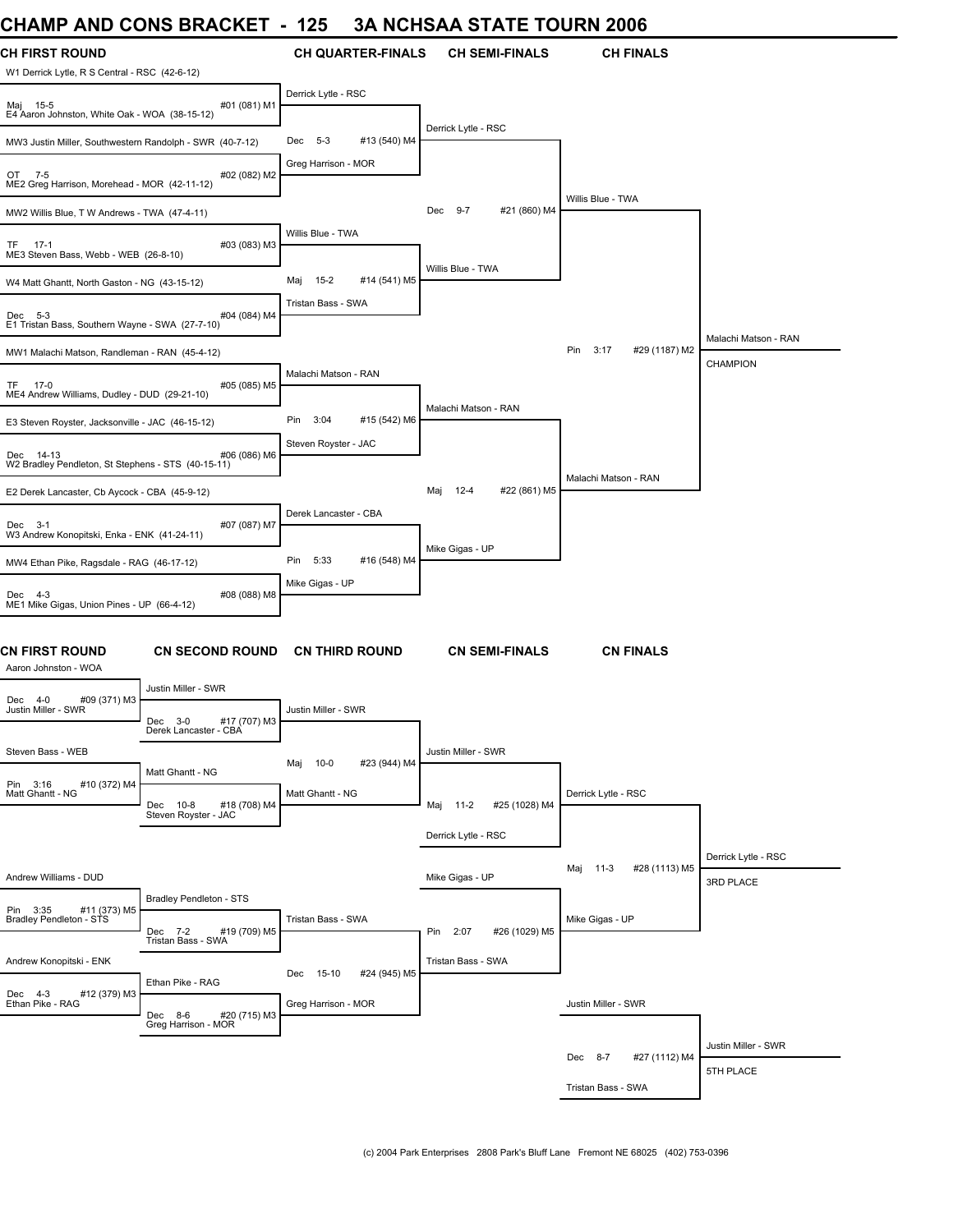#### **CHAMP AND CONS BRACKET - 125 3A NCHSAA STATE TOURN 2006**

| UNAIWIT ANU UUNJ DRAUNEI                                                           |              | ט זו                           | JA NUNJAA JIAIE IUUNN 4000     |                              |                      |
|------------------------------------------------------------------------------------|--------------|--------------------------------|--------------------------------|------------------------------|----------------------|
| <b>CH FIRST ROUND</b>                                                              |              | <b>CH QUARTER-FINALS</b>       | <b>CH SEMI-FINALS</b>          | <b>CH FINALS</b>             |                      |
| W1 Derrick Lytle, R S Central - RSC (42-6-12)                                      |              |                                |                                |                              |                      |
| Maj 15-5<br>E4 Aaron Johnston, White Oak - WOA (38-15-12)                          | #01 (081) M1 | Derrick Lytle - RSC            |                                |                              |                      |
| MW3 Justin Miller, Southwestern Randolph - SWR (40-7-12)                           |              | #13 (540) M4<br>$5 - 3$<br>Dec | Derrick Lytle - RSC            |                              |                      |
| OT 7-5<br>ME2 Greg Harrison, Morehead - MOR (42-11-12)                             | #02 (082) M2 | Greg Harrison - MOR            |                                |                              |                      |
| MW2 Willis Blue, T W Andrews - TWA (47-4-11)                                       |              |                                | $9 - 7$<br>#21 (860) M4<br>Dec | Willis Blue - TWA            |                      |
| $17-1$<br>TF.<br>ME3 Steven Bass, Webb - WEB (26-8-10)                             | #03 (083) M3 | Willis Blue - TWA              |                                |                              |                      |
| W4 Matt Ghantt, North Gaston - NG (43-15-12)                                       |              | $15-2$<br>#14 (541) M5<br>Maj  | Willis Blue - TWA              |                              |                      |
| Dec 5-3<br>E1 Tristan Bass, Southern Wayne - SWA (27-7-10)                         | #04 (084) M4 | Tristan Bass - SWA             |                                |                              |                      |
|                                                                                    |              |                                |                                | 3:17<br>Pin<br>#29 (1187) M2 | Malachi Matson - RAN |
| MW1 Malachi Matson, Randleman - RAN (45-4-12)                                      |              | Malachi Matson - RAN           |                                |                              | <b>CHAMPION</b>      |
| TF 17-0<br>ME4 Andrew Williams, Dudley - DUD (29-21-10)                            | #05 (085) M5 |                                |                                |                              |                      |
| E3 Steven Royster, Jacksonville - JAC (46-15-12)                                   |              | Pin<br>3:04<br>#15 (542) M6    | Malachi Matson - RAN           |                              |                      |
| Dec 14-13<br>W2 Bradley Pendleton, St Stephens - STS (40-15-11)                    | #06 (086) M6 | Steven Royster - JAC           |                                |                              |                      |
| E2 Derek Lancaster, Cb Aycock - CBA (45-9-12)                                      |              |                                | 12-4<br>#22 (861) M5<br>Maj    | Malachi Matson - RAN         |                      |
| Dec 3-1                                                                            | #07 (087) M7 | Derek Lancaster - CBA          |                                |                              |                      |
| W3 Andrew Konopitski, Enka - ENK (41-24-11)                                        |              | #16 (548) M4<br>5:33<br>Pin    | Mike Gigas - UP                |                              |                      |
| MW4 Ethan Pike, Ragsdale - RAG (46-17-12)                                          |              | Mike Gigas - UP                |                                |                              |                      |
| Dec 4-3<br>ME1 Mike Gigas, Union Pines - UP (66-4-12)                              | #08 (088) M8 |                                |                                |                              |                      |
| <b>CN FIRST ROUND</b><br><b>CN SECOND ROUND</b><br>Aaron Johnston - WOA            |              | <b>CN THIRD ROUND</b>          | <b>CN SEMI-FINALS</b>          | <b>CN FINALS</b>             |                      |
| Justin Miller - SWR                                                                |              |                                |                                |                              |                      |
| #09 (371) M3<br>Dec 4-0<br>Justin Miller - SWR<br>Dec 3-0<br>Derek Lancaster - CBA | #17 (707) M3 | Justin Miller - SWR            |                                |                              |                      |
| Steven Bass - WEB                                                                  |              |                                | Justin Miller - SWR            |                              |                      |
| Matt Ghantt - NG<br>Pin 3:16<br>#10 (372) M4                                       |              | $10-0$<br>#23 (944) M4<br>Maj  |                                |                              |                      |
| Matt Ghantt - NG<br>Dec 10-8<br>Steven Royster - JAC                               | #18 (708) M4 | Matt Ghantt - NG               | Maj 11-2<br>#25 (1028) M4      | Derrick Lytle - RSC          |                      |
|                                                                                    |              |                                | Derrick Lytle - RSC            |                              |                      |
|                                                                                    |              |                                |                                |                              | Derrick Lytle - RSC  |
| Andrew Williams - DUD                                                              |              |                                | Mike Gigas - UP                | 11-3<br>#28 (1113) M5<br>Maj | 3RD PLACE            |
| Bradley Pendleton - STS<br>Pin 3:35<br>#11 (373) M5<br>Bradley Pendleton - STS     |              | Tristan Bass - SWA             |                                | Mike Gigas - UP              |                      |
| Dec 7-2<br>Tristan Bass - SWA                                                      | #19 (709) M5 |                                | Pin 2:07<br>#26 (1029) M5      |                              |                      |
| Andrew Konopitski - ENK                                                            |              | 15-10<br>#24 (945) M5<br>Dec   | Tristan Bass - SWA             |                              |                      |
| Ethan Pike - RAG<br>Dec 4-3<br>#12 (379) M3                                        |              |                                |                                |                              |                      |
| Ethan Pike - RAG<br>Dec 8-6<br>Greg Harrison - MOR                                 | #20 (715) M3 | Greg Harrison - MOR            |                                | Justin Miller - SWR          |                      |
|                                                                                    |              |                                |                                |                              | Justin Miller - SWR  |
|                                                                                    |              |                                |                                | #27 (1112) M4<br>Dec 8-7     | 5TH PLACE            |
|                                                                                    |              |                                |                                | Tristan Bass - SWA           |                      |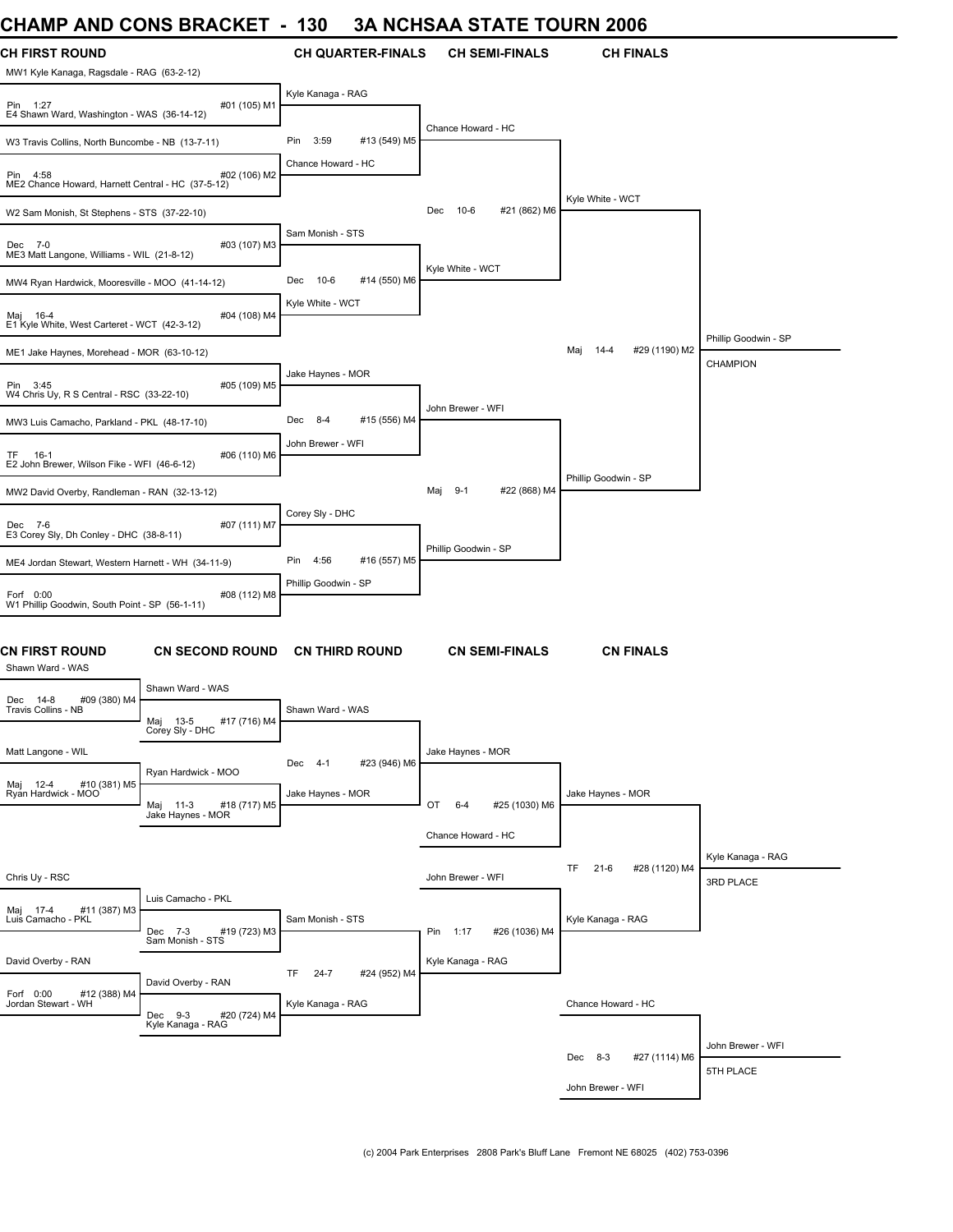#### **CHAMP AND CONS BRACKET - 130 3A NCHSAA STATE TOURN 2006**

| UNAIVIL AND UUNJ DRAUNE I                                          |                                                                    | טט ו                           | JA NUNJAA JIAIE IUUNN 4000     |                                 |                                |
|--------------------------------------------------------------------|--------------------------------------------------------------------|--------------------------------|--------------------------------|---------------------------------|--------------------------------|
| <b>CH FIRST ROUND</b><br>MW1 Kyle Kanaga, Ragsdale - RAG (63-2-12) |                                                                    | <b>CH QUARTER-FINALS</b>       | <b>CH SEMI-FINALS</b>          | <b>CH FINALS</b>                |                                |
| Pin 1:27<br>E4 Shawn Ward, Washington - WAS (36-14-12)             | #01 (105) M1                                                       | Kyle Kanaga - RAG              |                                |                                 |                                |
| W3 Travis Collins, North Buncombe - NB (13-7-11)                   |                                                                    | 3:59<br>Pin<br>#13 (549) M5    | Chance Howard - HC             |                                 |                                |
| Pin 4:58<br>ME2 Chance Howard, Harnett Central - HC (37-5-12)      | #02 (106) M2                                                       | Chance Howard - HC             |                                |                                 |                                |
| W2 Sam Monish, St Stephens - STS (37-22-10)                        |                                                                    |                                | #21 (862) M6<br>$10-6$<br>Dec  | Kyle White - WCT                |                                |
| Dec 7-0<br>ME3 Matt Langone, Williams - WIL (21-8-12)              | #03 (107) M3                                                       | Sam Monish - STS               |                                |                                 |                                |
| MW4 Ryan Hardwick, Mooresville - MOO (41-14-12)                    |                                                                    | #14 (550) M6<br>10-6<br>Dec    | Kyle White - WCT               |                                 |                                |
| Maj 16-4<br>E1 Kyle White, West Carteret - WCT (42-3-12)           | #04 (108) M4                                                       | Kyle White - WCT               |                                |                                 |                                |
| ME1 Jake Haynes, Morehead - MOR (63-10-12)                         |                                                                    |                                |                                | #29 (1190) M2<br>Maj<br>14-4    | Phillip Goodwin - SP           |
| Pin 3:45<br>W4 Chris Uy, R S Central - RSC (33-22-10)              | #05 (109) M5                                                       | Jake Haynes - MOR              |                                |                                 | CHAMPION                       |
| MW3 Luis Camacho, Parkland - PKL (48-17-10)                        |                                                                    | Dec 8-4<br>#15 (556) M4        | John Brewer - WFI              |                                 |                                |
| TF 16-1<br>E2 John Brewer, Wilson Fike - WFI (46-6-12)             | #06 (110) M6                                                       | John Brewer - WFI              |                                |                                 |                                |
| MW2 David Overby, Randleman - RAN (32-13-12)                       |                                                                    |                                | #22 (868) M4<br>$9-1$<br>Мај   | Phillip Goodwin - SP            |                                |
| Dec 7-6<br>E3 Corey Sly, Dh Conley - DHC (38-8-11)                 | #07 (111) M7                                                       | Corey Sly - DHC                |                                |                                 |                                |
| ME4 Jordan Stewart, Western Harnett - WH (34-11-9)                 |                                                                    | 4:56<br>Pin<br>#16 (557) M5    | Phillip Goodwin - SP           |                                 |                                |
| Forf 0:00<br>W1 Phillip Goodwin, South Point - SP (56-1-11)        | #08 (112) M8                                                       | Phillip Goodwin - SP           |                                |                                 |                                |
| CN FIRST ROUND<br>Shawn Ward - WAS                                 | <b>CN SECOND ROUND</b>                                             | <b>CN THIRD ROUND</b>          | <b>CN SEMI-FINALS</b>          | <b>CN FINALS</b>                |                                |
| #09 (380) M4<br>Dec 14-8                                           | Shawn Ward - WAS                                                   |                                |                                |                                 |                                |
| Travis Collins - NB                                                | Maj 13-5<br>#17 (716) M4<br>Corey Sly - DHC                        | Shawn Ward - WAS               |                                |                                 |                                |
| Matt Langone - WIL                                                 | Ryan Hardwick - MOO                                                | #23 (946) M6<br>Dec 4-1        | Jake Haynes - MOR              |                                 |                                |
| Maj 12-4 #10 (<br>Ryan Hardwick - MOO<br>#10 (381) M5              | Maj 11-3<br>#18 (717) M5<br>Jake Haynes - MOR                      | Jake Haynes - MOR              | OT<br>$6 - 4$<br>#25 (1030) M6 | Jake Haynes - MOR               |                                |
|                                                                    |                                                                    |                                | Chance Howard - HC             |                                 |                                |
| Chris Uy - RSC                                                     |                                                                    |                                | John Brewer - WFI              | TF<br>#28 (1120) M4<br>$21 - 6$ | Kyle Kanaga - RAG<br>3RD PLACE |
| #11 (387) M3<br>Maj 17-4                                           | Luis Camacho - PKL                                                 |                                |                                |                                 |                                |
| Luis Camacho - PKL                                                 | #19 (723) M3<br>Dec 7-3<br>Sam Monish - STS                        | Sam Monish - STS               | #26 (1036) M4<br>Pin 1:17      | Kyle Kanaga - RAG               |                                |
| David Overby - RAN                                                 |                                                                    | $24 - 7$<br>TF<br>#24 (952) M4 | Kyle Kanaga - RAG              |                                 |                                |
| Forf 0:00<br>#12 (388) M4<br>Jordan Stewart - WH                   | David Overby - RAN<br>Dec 9-3<br>#20 (724) M4<br>Kyle Kanaga - RAG | Kyle Kanaga - RAG              |                                | Chance Howard - HC              |                                |
|                                                                    |                                                                    |                                |                                |                                 | John Brewer - WFI              |
|                                                                    |                                                                    |                                |                                | #27 (1114) M6<br>Dec 8-3        | 5TH PLACE                      |
|                                                                    |                                                                    |                                |                                | John Brewer - WFI               |                                |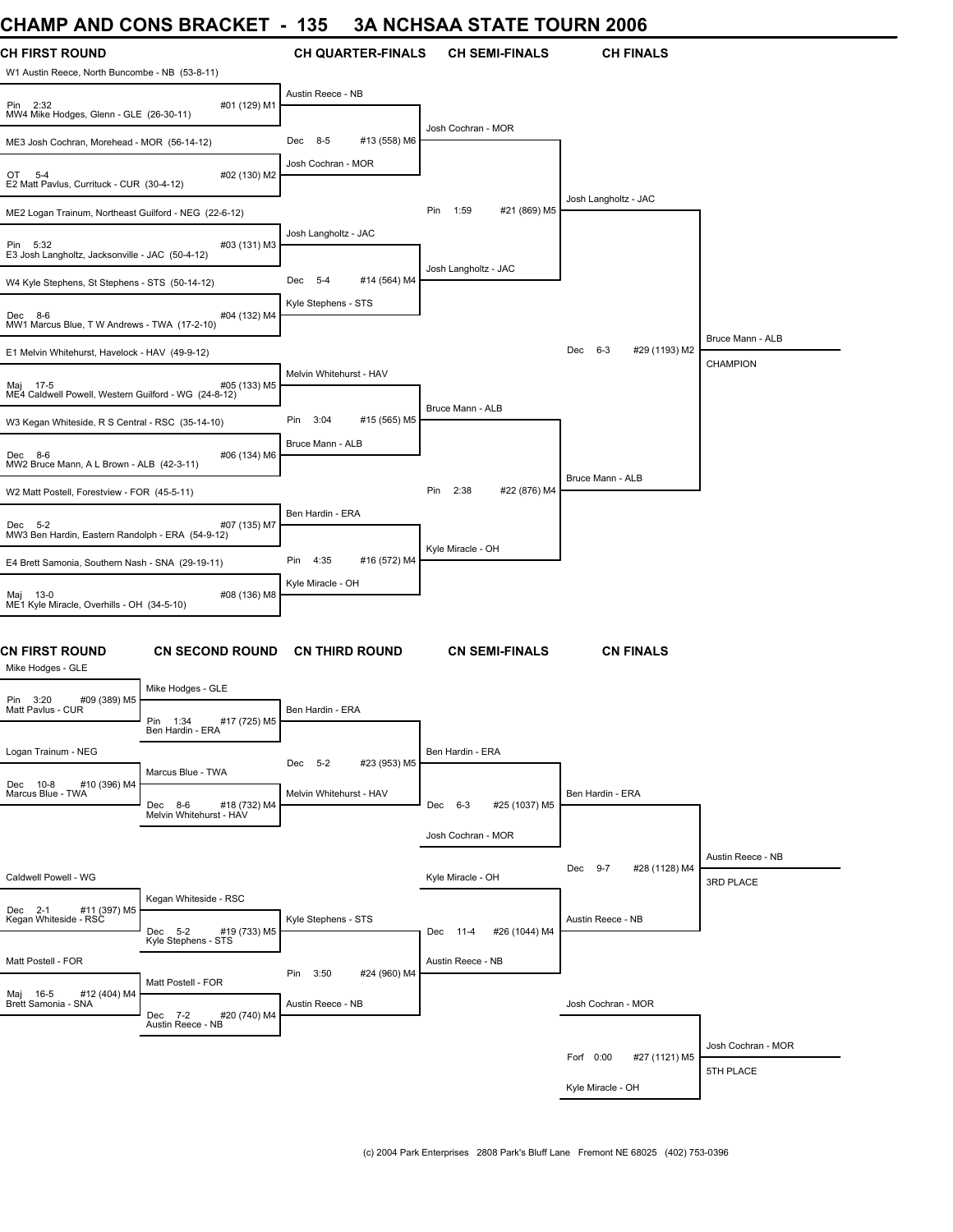## **CHAMP AND CONS BRACKET - 135 3A NCHSAA STATE TOURN 2006**

| UMANIP ANU UUNG BRAUNEI                                                                |                                                    | 135<br>$\overline{\phantom{a}}$ |                          |                      |                       | <u>JA NUHJAA JIAIE IUUKN ZUUD</u> |                                |
|----------------------------------------------------------------------------------------|----------------------------------------------------|---------------------------------|--------------------------|----------------------|-----------------------|-----------------------------------|--------------------------------|
| <b>CH FIRST ROUND</b>                                                                  |                                                    |                                 | <b>CH QUARTER-FINALS</b> |                      | <b>CH SEMI-FINALS</b> | <b>CH FINALS</b>                  |                                |
| W1 Austin Reece, North Buncombe - NB (53-8-11)<br>Pin 2:32                             | #01 (129) M1                                       | Austin Reece - NB               |                          |                      |                       |                                   |                                |
| MW4 Mike Hodges, Glenn - GLE (26-30-11)<br>ME3 Josh Cochran, Morehead - MOR (56-14-12) |                                                    | 8-5<br>Dec                      | #13 (558) M6             | Josh Cochran - MOR   |                       |                                   |                                |
| OT 5-4<br>E2 Matt Pavlus, Currituck - CUR (30-4-12)                                    | #02 (130) M2                                       | Josh Cochran - MOR              |                          |                      |                       |                                   |                                |
| ME2 Logan Trainum, Northeast Guilford - NEG (22-6-12)                                  |                                                    |                                 |                          | Pin<br>1:59          | #21 (869) M5          | Josh Langholtz - JAC              |                                |
| Pin 5:32<br>E3 Josh Langholtz, Jacksonville - JAC (50-4-12)                            | #03 (131) M3                                       | Josh Langholtz - JAC            |                          |                      |                       |                                   |                                |
| W4 Kyle Stephens, St Stephens - STS (50-14-12)                                         |                                                    | Dec 5-4                         | #14 (564) M4             | Josh Langholtz - JAC |                       |                                   |                                |
| Dec 8-6<br>MW1 Marcus Blue, T W Andrews - TWA (17-2-10)                                | #04 (132) M4                                       | Kyle Stephens - STS             |                          |                      |                       |                                   |                                |
| E1 Melvin Whitehurst, Havelock - HAV (49-9-12)                                         |                                                    |                                 |                          |                      |                       | Dec 6-3<br>#29 (1193) M2          | Bruce Mann - ALB               |
| Maj 17-5<br>ME4 Caldwell Powell, Western Guilford - WG (24-8-12)                       | #05 (133) M5                                       | Melvin Whitehurst - HAV         |                          |                      |                       |                                   | CHAMPION                       |
| W3 Kegan Whiteside, R S Central - RSC (35-14-10)                                       |                                                    | Pin<br>3:04                     | #15 (565) M5             | Bruce Mann - ALB     |                       |                                   |                                |
| Dec 8-6<br>MW2 Bruce Mann, A L Brown - ALB (42-3-11)                                   | #06 (134) M6                                       | Bruce Mann - ALB                |                          |                      |                       |                                   |                                |
| W2 Matt Postell, Forestview - FOR (45-5-11)                                            |                                                    |                                 |                          | Pin<br>2:38          | #22 (876) M4          | Bruce Mann - ALB                  |                                |
| Dec 5-2<br>MW3 Ben Hardin, Eastern Randolph - ERA (54-9-12)                            | #07 (135) M7                                       | Ben Hardin - ERA                |                          |                      |                       |                                   |                                |
| E4 Brett Samonia, Southern Nash - SNA (29-19-11)                                       |                                                    | Pin 4:35                        | #16 (572) M4             | Kyle Miracle - OH    |                       |                                   |                                |
| Maj 13-0<br>ME1 Kyle Miracle, Overhills - OH (34-5-10)                                 | #08 (136) M8                                       | Kyle Miracle - OH               |                          |                      |                       |                                   |                                |
| <b>CN FIRST ROUND</b><br>Mike Hodges - GLE                                             | <b>CN SECOND ROUND</b>                             | <b>CN THIRD ROUND</b>           |                          |                      | <b>CN SEMI-FINALS</b> | <b>CN FINALS</b>                  |                                |
| Pin 3:20<br>#09 (389) M5                                                               | Mike Hodges - GLE                                  |                                 |                          |                      |                       |                                   |                                |
| Matt Pavlus - CUR                                                                      | Pin 1:34<br>#17 (725) M5<br>Ben Hardin - ERA       | Ben Hardin - ERA                |                          |                      |                       |                                   |                                |
| Logan Trainum - NEG                                                                    | Marcus Blue - TWA                                  | Dec 5-2                         | #23 (953) M5             | Ben Hardin - ERA     |                       |                                   |                                |
| Dec 10-8<br>#10 (396) M4<br>Marcus Blue - TWA                                          | Dec 8-6<br>#18 (732) M4<br>Melvin Whitehurst - HAV | Melvin Whitehurst - HAV         |                          | Dec 6-3              | #25 (1037) M5         | Ben Hardin - ERA                  |                                |
|                                                                                        |                                                    |                                 |                          | Josh Cochran - MOR   |                       |                                   |                                |
| Caldwell Powell - WG                                                                   |                                                    |                                 |                          | Kyle Miracle - OH    |                       | Dec 9-7<br>#28 (1128) M4          | Austin Reece - NB<br>3RD PLACE |
| Dec 2-1 #11 (397) M5<br>Kegan Whiteside - RSC                                          | Kegan Whiteside - RSC                              | Kyle Stephens - STS             |                          |                      |                       | Austin Reece - NB                 |                                |
|                                                                                        | #19 (733) M5<br>Dec 5-2<br>Kyle Stephens - STS     |                                 |                          | Dec 11-4             | #26 (1044) M4         |                                   |                                |
| Matt Postell - FOR                                                                     | Matt Postell - FOR                                 | 3:50<br>Pin                     | #24 (960) M4             | Austin Reece - NB    |                       |                                   |                                |
| Maj 16-5<br>#12 (404) M4<br>Brett Samonia - SNA                                        | Dec 7-2<br>#20 (740) M4                            | Austin Reece - NB               |                          |                      |                       | Josh Cochran - MOR                |                                |
|                                                                                        | Austin Reece - NB                                  |                                 |                          |                      |                       |                                   | Josh Cochran - MOR             |
|                                                                                        |                                                    |                                 |                          |                      |                       | Forf 0:00<br>#27 (1121) M5        | 5TH PLACE                      |
|                                                                                        |                                                    |                                 |                          |                      |                       | Kyle Miracle - OH                 |                                |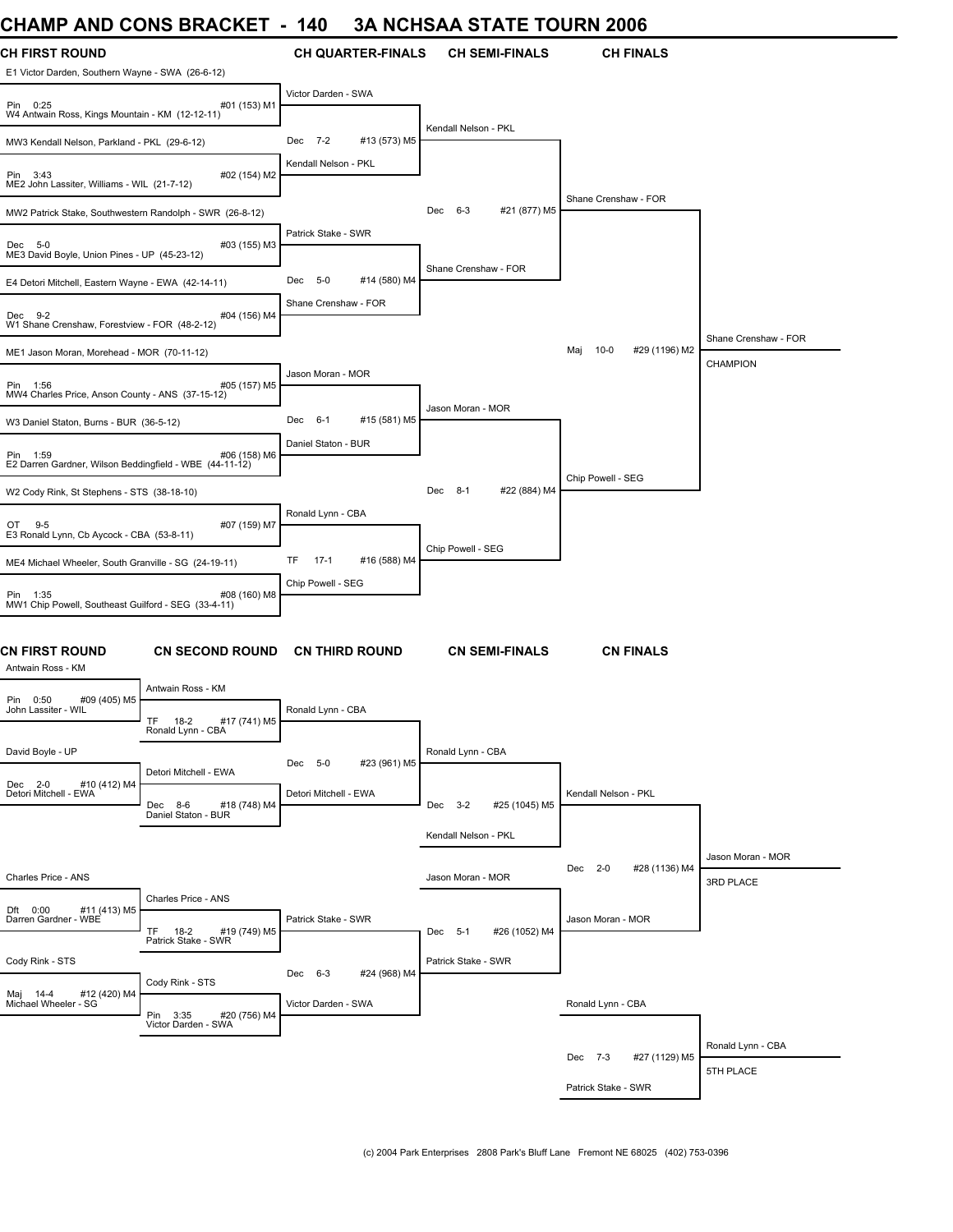## **CHAMP AND CONS BRACKET - 140 3A NCHSAA STATE TOURN 2006**

| UNAIWIY ANU UUNJ DRAUNE I                                                 |                                                          | $\overline{\phantom{a}}$<br>14V |                          |                      |                       | JA NUNJAA JIAIE IUUKN ZUU0     |                                         |
|---------------------------------------------------------------------------|----------------------------------------------------------|---------------------------------|--------------------------|----------------------|-----------------------|--------------------------------|-----------------------------------------|
| <b>CH FIRST ROUND</b><br>E1 Victor Darden, Southern Wayne - SWA (26-6-12) |                                                          |                                 | <b>CH QUARTER-FINALS</b> |                      | <b>CH SEMI-FINALS</b> | <b>CH FINALS</b>               |                                         |
| Pin 0:25<br>W4 Antwain Ross, Kings Mountain - KM (12-12-11)               | #01 (153) M1                                             | Victor Darden - SWA             |                          |                      |                       |                                |                                         |
| MW3 Kendall Nelson, Parkland - PKL (29-6-12)                              |                                                          | Dec 7-2                         | #13 (573) M5             | Kendall Nelson - PKL |                       |                                |                                         |
| Pin 3:43<br>ME2 John Lassiter, Williams - WIL (21-7-12)                   | #02 (154) M2                                             | Kendall Nelson - PKL            |                          |                      |                       |                                |                                         |
| MW2 Patrick Stake, Southwestern Randolph - SWR (26-8-12)                  |                                                          |                                 |                          | Dec 6-3              | #21 (877) M5          | Shane Crenshaw - FOR           |                                         |
| Dec 5-0<br>ME3 David Boyle, Union Pines - UP (45-23-12)                   | #03 (155) M3                                             | Patrick Stake - SWR             |                          |                      |                       |                                |                                         |
| E4 Detori Mitchell, Eastern Wayne - EWA (42-14-11)                        |                                                          | Dec 5-0                         | #14 (580) M4             | Shane Crenshaw - FOR |                       |                                |                                         |
| Dec 9-2<br>W1 Shane Crenshaw, Forestview - FOR (48-2-12)                  | #04 (156) M4                                             | Shane Crenshaw - FOR            |                          |                      |                       |                                |                                         |
| ME1 Jason Moran, Morehead - MOR (70-11-12)                                |                                                          |                                 |                          |                      |                       | Maj<br>$10-0$<br>#29 (1196) M2 | Shane Crenshaw - FOR<br><b>CHAMPION</b> |
| Pin 1:56<br>MW4 Charles Price, Anson County - ANS (37-15-12)              | #05 (157) M5                                             | Jason Moran - MOR               |                          |                      |                       |                                |                                         |
| W3 Daniel Staton, Burns - BUR (36-5-12)                                   |                                                          | Dec 6-1                         | #15 (581) M5             | Jason Moran - MOR    |                       |                                |                                         |
| Pin 1:59<br>E2 Darren Gardner, Wilson Beddingfield - WBE (44-11-12)       | #06 (158) M6                                             | Daniel Staton - BUR             |                          |                      |                       |                                |                                         |
| W2 Cody Rink, St Stephens - STS (38-18-10)                                |                                                          |                                 |                          | Dec 8-1              | #22 (884) M4          | Chip Powell - SEG              |                                         |
| $9 - 5$<br>OT<br>E3 Ronald Lynn, Cb Aycock - CBA (53-8-11)                | #07 (159) M7                                             | Ronald Lynn - CBA               |                          |                      |                       |                                |                                         |
| ME4 Michael Wheeler, South Granville - SG (24-19-11)                      |                                                          | TF<br>$17-1$                    | #16 (588) M4             | Chip Powell - SEG    |                       |                                |                                         |
| Pin 1:35<br>MW1 Chip Powell, Southeast Guilford - SEG (33-4-11)           | #08 (160) M8                                             | Chip Powell - SEG               |                          |                      |                       |                                |                                         |
| <b>CN FIRST ROUND</b><br>Antwain Ross - KM                                | <b>CN SECOND ROUND</b>                                   |                                 | <b>CN THIRD ROUND</b>    |                      | <b>CN SEMI-FINALS</b> | <b>CN FINALS</b>               |                                         |
| Pin 0:50<br>#09 (405) M5                                                  | Antwain Ross - KM                                        |                                 |                          |                      |                       |                                |                                         |
| John Lassiter - WIL                                                       | TF 18-2<br>#17 (741) M5<br>Ronald Lynn - CBA             | Ronald Lynn - CBA               |                          |                      |                       |                                |                                         |
| David Boyle - UP                                                          | Detori Mitchell - EWA                                    | Dec 5-0                         | #23 (961) M5             | Ronald Lynn - CBA    |                       |                                |                                         |
| Dec 2-0<br>#10 (412) M4<br>Detori Mitchell - EWA                          | #18 (748) M4<br>Dec<br>8-6<br>Daniel Staton - BUR        | Detori Mitchell - EWA           |                          | Dec 3-2              | #25 (1045) M5         | Kendall Nelson - PKL           |                                         |
|                                                                           |                                                          |                                 |                          | Kendall Nelson - PKL |                       |                                |                                         |
| Charles Price - ANS                                                       |                                                          |                                 |                          | Jason Moran - MOR    |                       | Dec 2-0<br>#28 (1136) M4       | Jason Moran - MOR<br>3RD PLACE          |
| Dft 0:00<br>#11 (413) M5<br>Darren Gardner - WBE                          | Charles Price - ANS<br><b>TF</b><br>18-2<br>#19 (749) M5 | Patrick Stake - SWR             |                          | Dec 5-1              | #26 (1052) M4         | Jason Moran - MOR              |                                         |
|                                                                           | Patrick Stake - SWR                                      |                                 |                          |                      |                       |                                |                                         |
| Cody Rink - STS                                                           | Cody Rink - STS                                          | Dec 6-3                         | #24 (968) M4             | Patrick Stake - SWR  |                       |                                |                                         |
| Maj 14-4<br>#12 (420) M4<br>Michael Wheeler - SG                          | Pin 3:35<br>#20 (756) M4<br>Victor Darden - SWA          | Victor Darden - SWA             |                          |                      |                       | Ronald Lynn - CBA              |                                         |
|                                                                           |                                                          |                                 |                          |                      |                       | Dec 7-3<br>#27 (1129) M5       | Ronald Lynn - CBA                       |
|                                                                           |                                                          |                                 |                          |                      |                       |                                | 5TH PLACE                               |
|                                                                           |                                                          |                                 |                          |                      |                       | Patrick Stake - SWR            |                                         |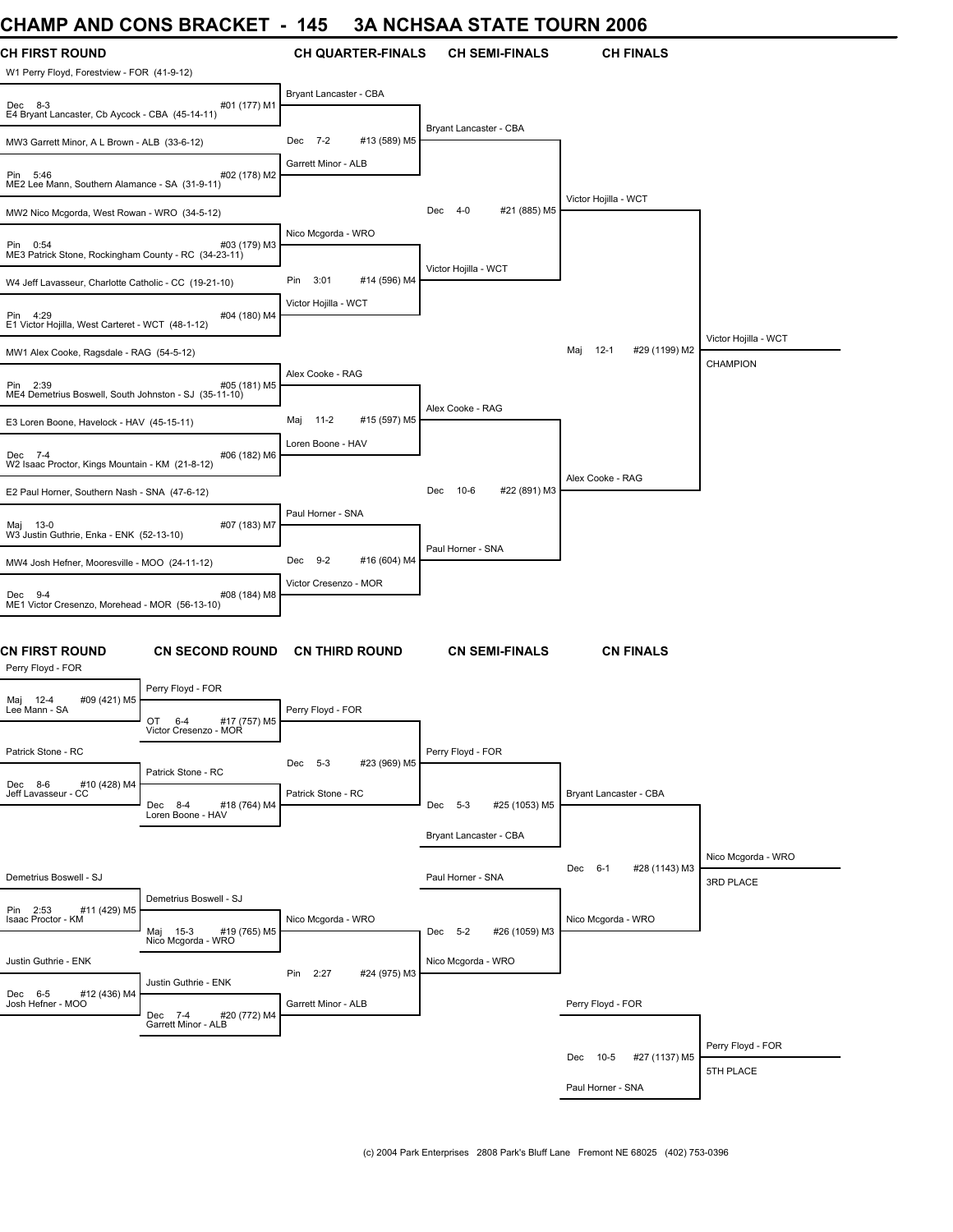#### **CHAMP AND CONS BRACKET - 145 3A NCHSAA STATE TOURN 2006**

| VIIAMIE AND<br><b>UUINU DINAUNLI</b>                                                 |                        | 140                    |                          |                        |                       | JA NUTJAA STATE TUUNN 2000       |                                 |
|--------------------------------------------------------------------------------------|------------------------|------------------------|--------------------------|------------------------|-----------------------|----------------------------------|---------------------------------|
| CH FIRST ROUND<br>W1 Perry Floyd, Forestview - FOR (41-9-12)                         |                        |                        | <b>CH QUARTER-FINALS</b> |                        | <b>CH SEMI-FINALS</b> | <b>CH FINALS</b>                 |                                 |
| Dec 8-3<br>E4 Bryant Lancaster, Cb Aycock - CBA (45-14-11)                           | #01 (177) M1           | Bryant Lancaster - CBA |                          |                        |                       |                                  |                                 |
| MW3 Garrett Minor, A L Brown - ALB (33-6-12)                                         |                        | Dec<br>$7 - 2$         | #13 (589) M5             | Bryant Lancaster - CBA |                       |                                  |                                 |
| Pin 5:46<br>ME2 Lee Mann, Southern Alamance - SA (31-9-11)                           | #02 (178) M2           | Garrett Minor - ALB    |                          |                        |                       |                                  |                                 |
| MW2 Nico Mcgorda, West Rowan - WRO (34-5-12)                                         |                        |                        |                          | Dec 4-0                | #21 (885) M5          | Victor Hojilla - WCT             |                                 |
| Pin 0:54<br>ME3 Patrick Stone, Rockingham County - RC (34-23-11)                     | #03 (179) M3           | Nico Mcgorda - WRO     |                          |                        |                       |                                  |                                 |
| W4 Jeff Lavasseur, Charlotte Catholic - CC (19-21-10)                                |                        | Pin<br>3:01            | #14 (596) M4             | Victor Hojilla - WCT   |                       |                                  |                                 |
| Pin 4:29<br>E1 Victor Hojilla, West Carteret - WCT (48-1-12)                         | #04 (180) M4           | Victor Hojilla - WCT   |                          |                        |                       |                                  |                                 |
| MW1 Alex Cooke, Ragsdale - RAG (54-5-12)                                             |                        |                        |                          |                        |                       | Maj<br>$12 - 1$<br>#29 (1199) M2 | Victor Hojilla - WCT            |
| Pin 2:39<br>ME4 Demetrius Boswell, South Johnston - SJ (35-11-10)                    | #05 (181) M5           | Alex Cooke - RAG       |                          |                        |                       |                                  | <b>CHAMPION</b>                 |
| E3 Loren Boone, Havelock - HAV (45-15-11)                                            |                        | 11-2<br>Maj            | #15 (597) M5             | Alex Cooke - RAG       |                       |                                  |                                 |
| Dec 7-4<br>W2 Isaac Proctor, Kings Mountain - KM (21-8-12)                           | #06 (182) M6           | Loren Boone - HAV      |                          |                        |                       |                                  |                                 |
| E2 Paul Horner, Southern Nash - SNA (47-6-12)                                        |                        |                        |                          | Dec<br>$10-6$          | #22 (891) M3          | Alex Cooke - RAG                 |                                 |
| Maj 13-0<br>W3 Justin Guthrie, Enka - ENK (52-13-10)                                 | #07 (183) M7           | Paul Horner - SNA      |                          |                        |                       |                                  |                                 |
| MW4 Josh Hefner, Mooresville - MOO (24-11-12)                                        |                        | Dec<br>$9-2$           | #16 (604) M4             | Paul Horner - SNA      |                       |                                  |                                 |
| Dec 9-4<br>ME1 Victor Cresenzo, Morehead - MOR (56-13-10)                            | #08 (184) M8           | Victor Cresenzo - MOR  |                          |                        |                       |                                  |                                 |
| CN FIRST ROUND<br>Perry Floyd - FOR                                                  | <b>CN SECOND ROUND</b> |                        | <b>CN THIRD ROUND</b>    |                        | <b>CN SEMI-FINALS</b> | <b>CN FINALS</b>                 |                                 |
| Perry Floyd - FOR<br>#09 (421) M5<br>Maj 12-4                                        |                        |                        |                          |                        |                       |                                  |                                 |
| Lee Mann - SA<br>OT<br>$6 - 4$<br>Victor Cresenzo - MOR                              | #17 (757) M5           | Perry Floyd - FOR      |                          |                        |                       |                                  |                                 |
| Patrick Stone - RC<br>Patrick Stone - RC                                             |                        | Dec 5-3                | #23 (969) M5             | Perry Floyd - FOR      |                       |                                  |                                 |
| #10 (428) M4<br>Dec 8-6<br>Jeff Lavasseur - CC<br>Dec 8-4<br>Loren Boone - HAV       | #18 (764) M4           | Patrick Stone - RC     |                          | Dec 5-3                | #25 (1053) M5         | Bryant Lancaster - CBA           |                                 |
|                                                                                      |                        |                        |                          | Bryant Lancaster - CBA |                       |                                  |                                 |
| Demetrius Boswell - SJ                                                               |                        |                        |                          | Paul Horner - SNA      |                       | Dec 6-1<br>#28 (1143) M3         | Nico Mcgorda - WRO<br>3RD PLACE |
| Demetrius Boswell - SJ<br>Pin 2:53<br>#11 (429) M5<br>Isaac Proctor - KM<br>Maj 15-3 | #19 (765) M5           | Nico Mcgorda - WRO     |                          | Dec 5-2                | #26 (1059) M3         | Nico Mcgorda - WRO               |                                 |
| Nico Mcgorda - WRO<br>Justin Guthrie - ENK                                           |                        |                        |                          | Nico Mcgorda - WRO     |                       |                                  |                                 |
| Justin Guthrie - ENK                                                                 |                        | Pin 2:27               | #24 (975) M3             |                        |                       |                                  |                                 |
| #12 (436) M4<br>Dec 6-5<br>Josh Hefner - MOO<br>Dec 7-4<br>Garrett Minor - ALB       | #20 (772) M4           | Garrett Minor - ALB    |                          |                        |                       | Perry Floyd - FOR                |                                 |
|                                                                                      |                        |                        |                          |                        |                       | Dec 10-5<br>#27 (1137) M5        | Perry Floyd - FOR               |
|                                                                                      |                        |                        |                          |                        |                       |                                  | 5TH PLACE                       |
|                                                                                      |                        |                        |                          |                        |                       | Paul Horner - SNA                |                                 |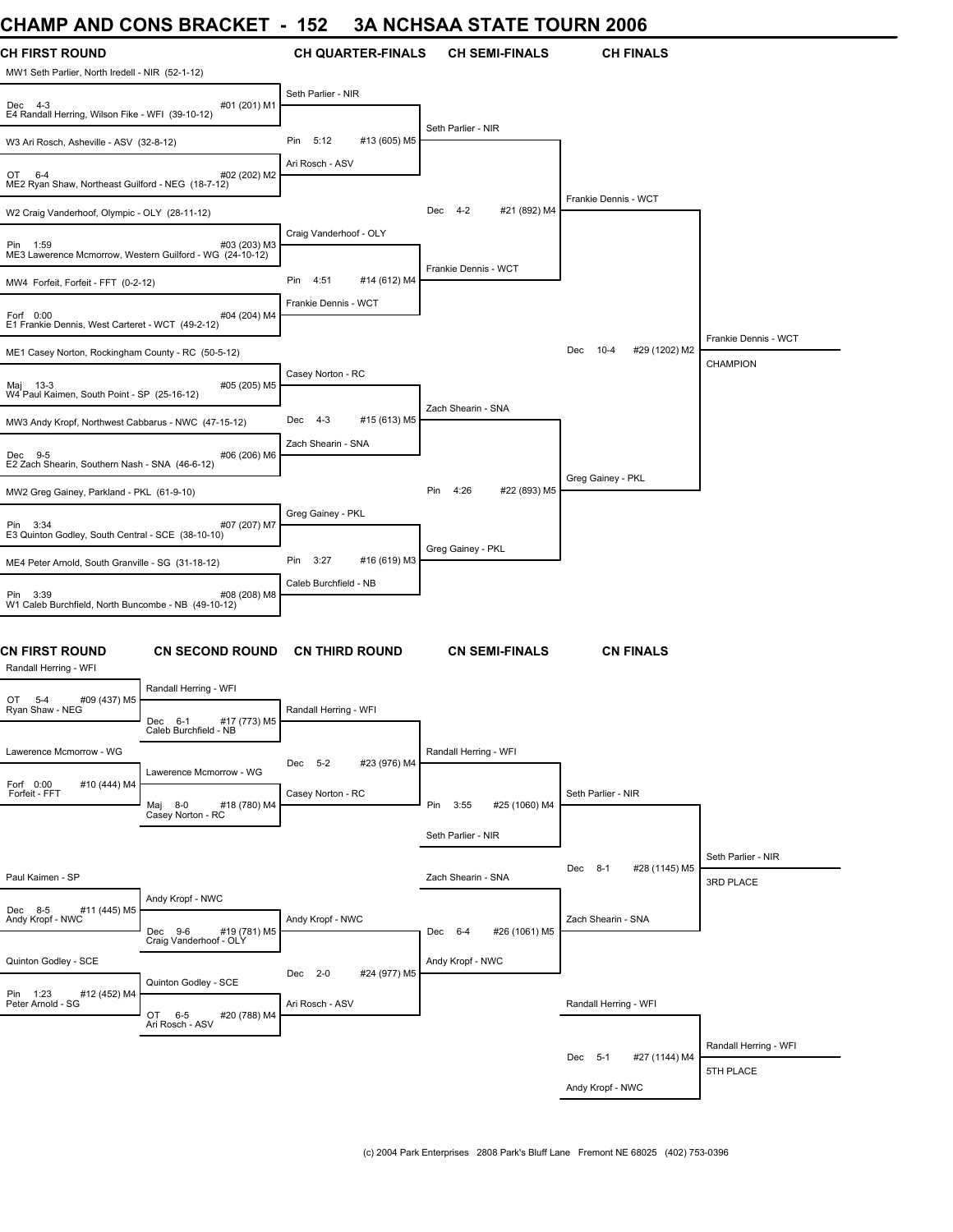### **CHAMP AND CONS BRACKET - 152 3A NCHSAA STATE TOURN 2006**

| UNAIWIT ANU UUNJ DRAUNEI                                                                         | 10Z                            | JA NUNJAA JIAIE IUUNN 4000     |                                  |                       |
|--------------------------------------------------------------------------------------------------|--------------------------------|--------------------------------|----------------------------------|-----------------------|
| <b>CH FIRST ROUND</b>                                                                            | <b>CH QUARTER-FINALS</b>       | <b>CH SEMI-FINALS</b>          | <b>CH FINALS</b>                 |                       |
| MW1 Seth Parlier, North Iredell - NIR (52-1-12)                                                  | Seth Parlier - NIR             |                                |                                  |                       |
| #01 (201) M1<br>Dec 4-3<br>E4 Randall Herring, Wilson Fike - WFI (39-10-12)                      |                                |                                |                                  |                       |
| W3 Ari Rosch, Asheville - ASV (32-8-12)                                                          | 5:12<br>#13 (605) M5<br>Pin    | Seth Parlier - NIR             |                                  |                       |
| #02 (202) M2<br>OT 6-4<br>ME2 Ryan Shaw, Northeast Guilford - NEG (18-7-12)                      | Ari Rosch - ASV                |                                |                                  |                       |
| W2 Craig Vanderhoof, Olympic - OLY (28-11-12)                                                    |                                | #21 (892) M4<br>$4 - 2$<br>Dec | Frankie Dennis - WCT             |                       |
| #03 (203) M3<br>Pin 1:59<br>ME3 Lawerence Mcmorrow, Western Guilford - WG (24-10-12)             | Craig Vanderhoof - OLY         |                                |                                  |                       |
| MW4 Forfeit, Forfeit - FFT (0-2-12)                                                              | 4:51<br>#14 (612) M4<br>Pin    | Frankie Dennis - WCT           |                                  |                       |
| Forf 0:00<br>#04 (204) M4<br>E1 Frankie Dennis, West Carteret - WCT (49-2-12)                    | Frankie Dennis - WCT           |                                |                                  |                       |
| ME1 Casey Norton, Rockingham County - RC (50-5-12)                                               |                                |                                | #29 (1202) M2<br>$10 - 4$<br>Dec | Frankie Dennis - WCT  |
|                                                                                                  | Casey Norton - RC              |                                |                                  | <b>CHAMPION</b>       |
| #05 (205) M5<br>Maj 13-3<br>W4 Paul Kaimen, South Point - SP (25-16-12)                          |                                |                                |                                  |                       |
| MW3 Andy Kropf, Northwest Cabbarus - NWC (47-15-12)                                              | $4 - 3$<br>#15 (613) M5<br>Dec | Zach Shearin - SNA             |                                  |                       |
| #06 (206) M6<br>Dec 9-5<br>E2 Zach Shearin, Southern Nash - SNA (46-6-12)                        | Zach Shearin - SNA             |                                |                                  |                       |
| MW2 Greg Gainey, Parkland - PKL (61-9-10)                                                        |                                | 4:26<br>#22 (893) M5<br>Pin    | Greg Gainey - PKL                |                       |
| #07 (207) M7<br>Pin 3:34<br>E3 Quinton Godley, South Central - SCE (38-10-10)                    | Greg Gainey - PKL              |                                |                                  |                       |
| ME4 Peter Arnold, South Granville - SG (31-18-12)                                                | 3:27<br>Pin<br>#16 (619) M3    | Greg Gainey - PKL              |                                  |                       |
| #08 (208) M8<br>Pin 3:39<br>W1 Caleb Burchfield, North Buncombe - NB (49-10-12)                  | Caleb Burchfield - NB          |                                |                                  |                       |
| <b>CN FIRST ROUND</b><br><b>CN SECOND ROUND</b><br>Randall Herring - WFI                         | <b>CN THIRD ROUND</b>          | <b>CN SEMI-FINALS</b>          | <b>CN FINALS</b>                 |                       |
| Randall Herring - WFI<br>#09 (437) M5<br>OT 5-4                                                  |                                |                                |                                  |                       |
| Ryan Shaw - NEG<br>#17 (773) M5<br>Dec 6-1<br>Caleb Burchfield - NB                              | Randall Herring - WFI          |                                |                                  |                       |
| Lawerence Mcmorrow - WG                                                                          | Dec 5-2<br>#23 (976) M4        | Randall Herring - WFI          |                                  |                       |
| Lawerence Mcmorrow - WG<br>Forf 0:00<br>#10 (444) M4<br>Forfeit - FFT<br>Maj 8-0<br>#18 (780) M4 | Casey Norton - RC              | Pin 3:55<br>#25 (1060) M4      | Seth Parlier - NIR               |                       |
| Casey Norton - RC                                                                                |                                | Seth Parlier - NIR             |                                  |                       |
|                                                                                                  |                                |                                |                                  | Seth Parlier - NIR    |
| Paul Kaimen - SP                                                                                 |                                | Zach Shearin - SNA             | $8 - 1$<br>#28 (1145) M5<br>Dec  | 3RD PLACE             |
| Andy Kropf - NWC<br>#11 (445) M5<br>Dec 8-5<br>Andy Kropf - NWC<br>Dec 9-6<br>#19 (781) M5       | Andy Kropf - NWC               | Dec 6-4<br>#26 (1061) M5       | Zach Shearin - SNA               |                       |
| Craig Vanderhoof - OLY                                                                           |                                |                                |                                  |                       |
| Quinton Godley - SCE<br>Quinton Godley - SCE                                                     | Dec 2-0<br>#24 (977) M5        | Andy Kropf - NWC               |                                  |                       |
| Pin 1:23<br>#12 (452) M4<br>Peter Arnold - SG<br>#20 (788) M4<br>OT 6-5<br>Ari Rosch - ASV       | Ari Rosch - ASV                |                                | Randall Herring - WFI            |                       |
|                                                                                                  |                                |                                |                                  | Randall Herring - WFI |
|                                                                                                  |                                |                                | Dec 5-1<br>#27 (1144) M4         | 5TH PLACE             |
|                                                                                                  |                                |                                | Andy Kropf - NWC                 |                       |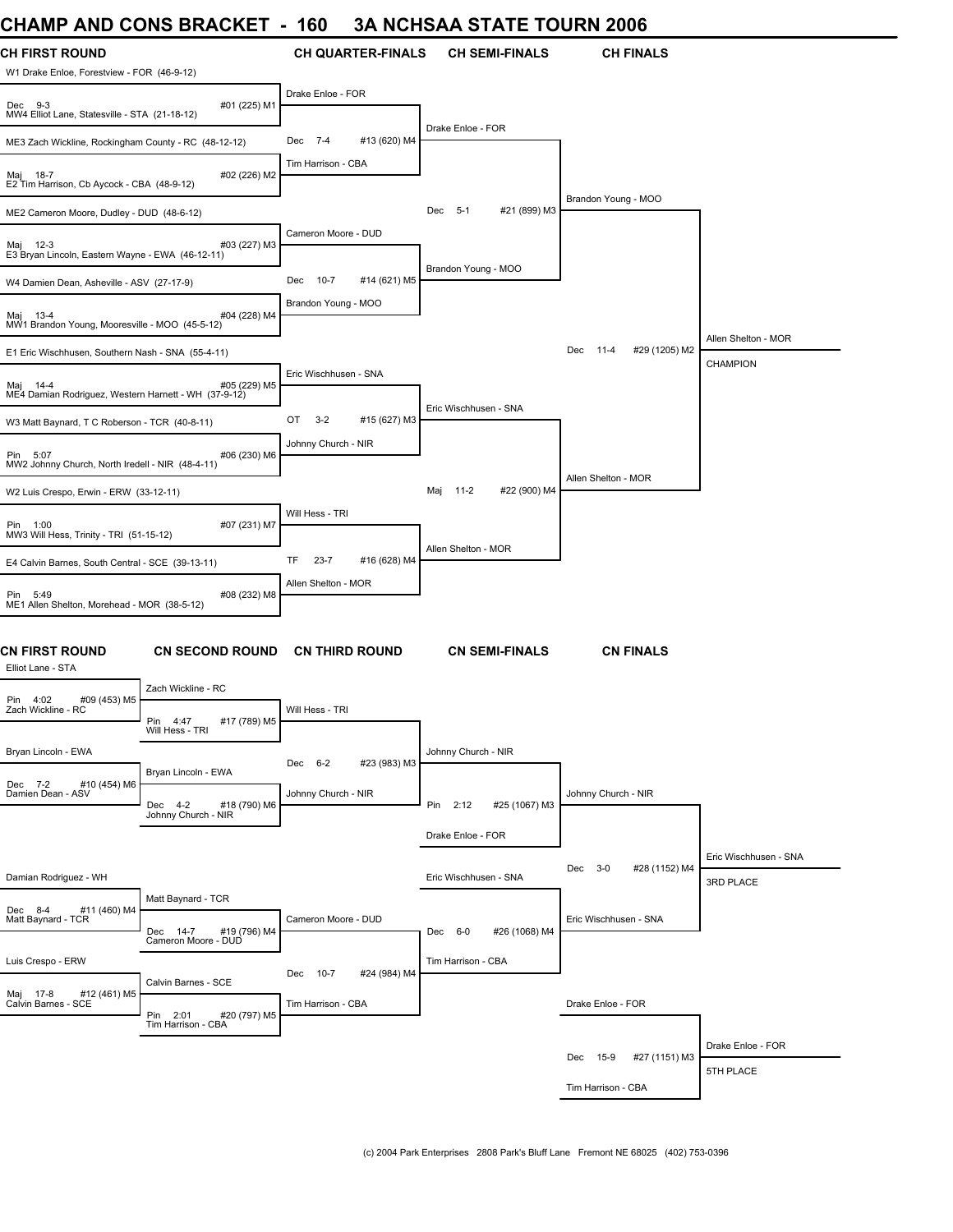## **CHAMP AND CONS BRACKET - 160 3A NCHSAA STATE TOURN 2006**

| <b>CH FIRST ROUND</b>                                            |                                                                       | <b>CH QUARTER-FINALS</b>        | <b>CH SEMI-FINALS</b>     | <b>CH FINALS</b>                 |                                    |
|------------------------------------------------------------------|-----------------------------------------------------------------------|---------------------------------|---------------------------|----------------------------------|------------------------------------|
| W1 Drake Enloe, Forestview - FOR (46-9-12)                       |                                                                       |                                 |                           |                                  |                                    |
| Dec 9-3<br>MW4 Elliot Lane, Statesville - STA (21-18-12)         | #01 (225) M1                                                          | Drake Enloe - FOR               |                           |                                  |                                    |
| ME3 Zach Wickline, Rockingham County - RC (48-12-12)             |                                                                       | #13 (620) M4<br>Dec 7-4         | Drake Enloe - FOR         |                                  |                                    |
| Maj 18-7<br>E2 Tim Harrison, Cb Aycock - CBA (48-9-12)           | #02 (226) M2                                                          | Tim Harrison - CBA              |                           |                                  |                                    |
| ME2 Cameron Moore, Dudley - DUD (48-6-12)                        |                                                                       |                                 | #21 (899) M3<br>Dec 5-1   | Brandon Young - MOO              |                                    |
| Maj 12-3<br>E3 Bryan Lincoln, Eastern Wayne - EWA (46-12-11)     | #03 (227) M3                                                          | Cameron Moore - DUD             |                           |                                  |                                    |
| W4 Damien Dean, Asheville - ASV (27-17-9)                        |                                                                       | $10 - 7$<br>#14 (621) M5<br>Dec | Brandon Young - MOO       |                                  |                                    |
| Maj 13-4<br>MW1 Brandon Young, Mooresville - MOO (45-5-12)       | #04 (228) M4                                                          | Brandon Young - MOO             |                           |                                  |                                    |
| E1 Eric Wischhusen, Southern Nash - SNA (55-4-11)                |                                                                       |                                 |                           | Dec<br>$11 - 4$<br>#29 (1205) M2 | Allen Shelton - MOR                |
| Maj 14-4<br>ME4 Damian Rodriguez, Western Harnett - WH (37-9-12) | #05 (229) M5                                                          | Eric Wischhusen - SNA           |                           |                                  | CHAMPION                           |
| W3 Matt Baynard, T C Roberson - TCR (40-8-11)                    |                                                                       | OT<br>$3 - 2$<br>#15 (627) M3   | Eric Wischhusen - SNA     |                                  |                                    |
| Pin 5:07<br>MW2 Johnny Church, North Iredell - NIR (48-4-11)     | #06 (230) M6                                                          | Johnny Church - NIR             |                           |                                  |                                    |
| W2 Luis Crespo, Erwin - ERW (33-12-11)                           |                                                                       |                                 | #22 (900) M4<br>Maj 11-2  | Allen Shelton - MOR              |                                    |
| Pin 1:00<br>MW3 Will Hess, Trinity - TRI (51-15-12)              | #07 (231) M7                                                          | Will Hess - TRI                 |                           |                                  |                                    |
| E4 Calvin Barnes, South Central - SCE (39-13-11)                 |                                                                       | TF<br>$23 - 7$<br>#16 (628) M4  | Allen Shelton - MOR       |                                  |                                    |
| Pin 5:49<br>ME1 Allen Shelton, Morehead - MOR (38-5-12)          | #08 (232) M8                                                          | Allen Shelton - MOR             |                           |                                  |                                    |
| <b>CN FIRST ROUND</b><br>Elliot Lane - STA                       | <b>CN SECOND ROUND</b>                                                | <b>CN THIRD ROUND</b>           | <b>CN SEMI-FINALS</b>     | <b>CN FINALS</b>                 |                                    |
| #09 (453) M5<br>Pin 4:02                                         | Zach Wickline - RC                                                    |                                 |                           |                                  |                                    |
| Zach Wickline - RC                                               | #17 (789) M5<br>Pin<br>4:47<br>Will Hess - TRI                        | Will Hess - TRI                 |                           |                                  |                                    |
| Bryan Lincoln - EWA                                              |                                                                       | Dec 6-2<br>#23 (983) M3         | Johnny Church - NIR       |                                  |                                    |
| Dec 7-2<br>#10 (454) M6<br>Damien Dean - ASV                     | Bryan Lincoln - EWA<br>Dec 4-2<br>#18 (790) M6<br>Johnny Church - NIR | Johnny Church - NIR             | Pin 2:12<br>#25 (1067) M3 | Johnny Church - NIR              |                                    |
|                                                                  |                                                                       |                                 | Drake Enloe - FOR         |                                  |                                    |
| Damian Rodriguez - WH                                            |                                                                       |                                 | Eric Wischhusen - SNA     | $3 - 0$<br>#28 (1152) M4<br>Dec  | Eric Wischhusen - SNA<br>3RD PLACE |
| Dec 8-4<br>#11 (460) M4<br>Matt Baynard - TCR                    | Matt Baynard - TCR                                                    | Cameron Moore - DUD             |                           | Eric Wischhusen - SNA            |                                    |
|                                                                  | Dec 14-7<br>#19 (796) M4<br>Cameron Moore - DUD                       |                                 | #26 (1068) M4<br>Dec 6-0  |                                  |                                    |
| Luis Crespo - ERW                                                | Calvin Barnes - SCE                                                   | Dec 10-7<br>#24 (984) M4        | Tim Harrison - CBA        |                                  |                                    |
| Maj 17-8 #12<br>Calvin Barnes - SCE<br>#12 (461) M5              | Pin 2:01<br>#20 (797) M5<br>Tim Harrison - CBA                        | Tim Harrison - CBA              |                           | Drake Enloe - FOR                |                                    |
|                                                                  |                                                                       |                                 |                           |                                  | Drake Enloe - FOR                  |
|                                                                  |                                                                       |                                 |                           | Dec<br>15-9<br>#27 (1151) M3     | 5TH PLACE                          |
|                                                                  |                                                                       |                                 |                           | Tim Harrison - CBA               |                                    |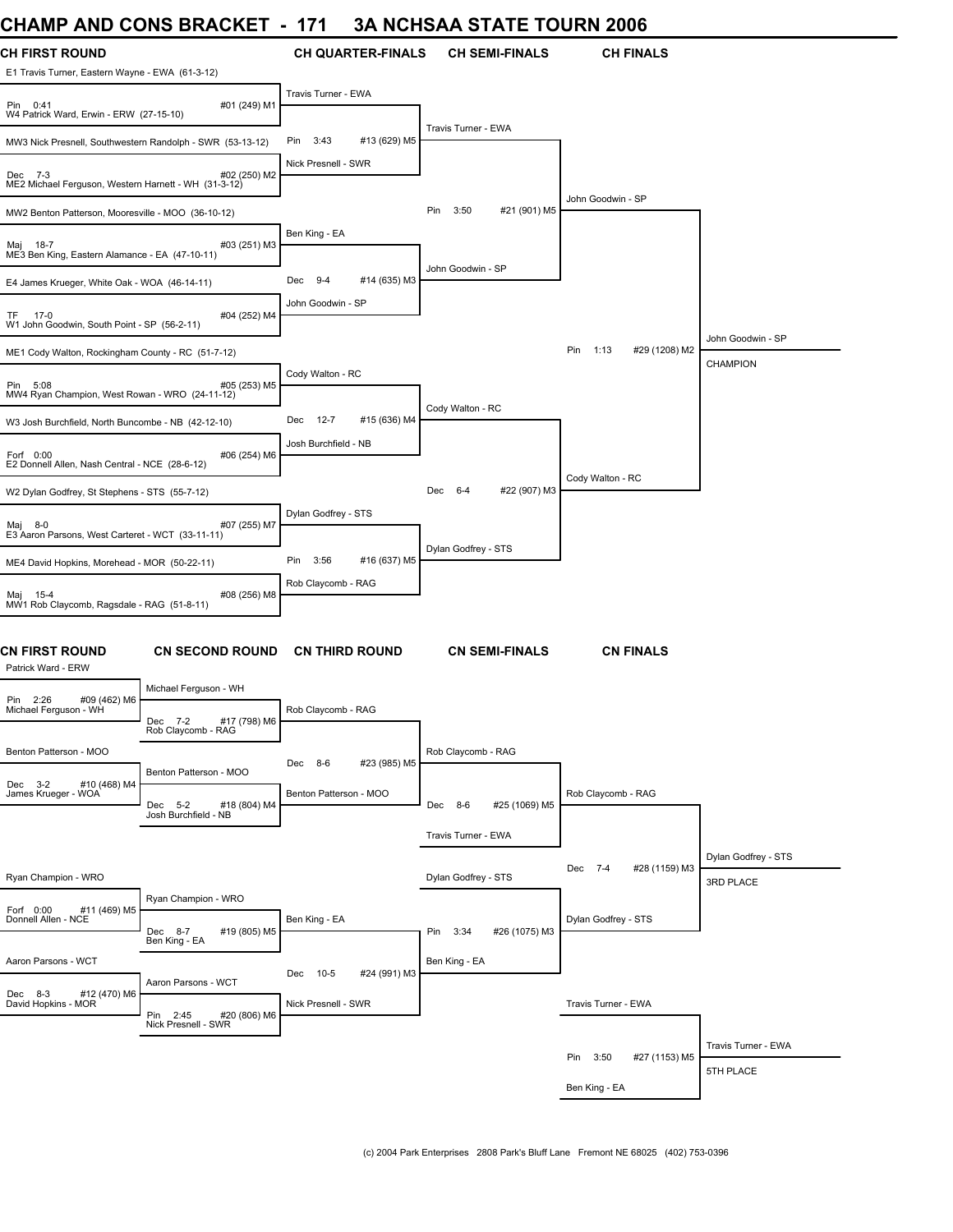### **CHAMP AND CONS BRACKET - 171 3A NCHSAA STATE TOURN 2006**

| UNAIWIP ANU UUNJ DRAUNE I                                                                |                        | - 171                              |                          |                     |                       | JA NUNJAA JIAIE IUUKN ZUU0      |                                      |
|------------------------------------------------------------------------------------------|------------------------|------------------------------------|--------------------------|---------------------|-----------------------|---------------------------------|--------------------------------------|
| <b>CH FIRST ROUND</b><br>E1 Travis Turner, Eastern Wayne - EWA (61-3-12)                 |                        |                                    | <b>CH QUARTER-FINALS</b> |                     | <b>CH SEMI-FINALS</b> | <b>CH FINALS</b>                |                                      |
| Pin 0:41<br>W4 Patrick Ward, Erwin - ERW (27-15-10)                                      | #01 (249) M1           | Travis Turner - EWA                |                          |                     |                       |                                 |                                      |
| MW3 Nick Presnell, Southwestern Randolph - SWR (53-13-12)                                |                        | 3:43<br>Pin                        | #13 (629) M5             | Travis Turner - EWA |                       |                                 |                                      |
| Dec 7-3<br>ME2 Michael Ferguson, Western Harnett - WH (31-3-12)                          | #02 (250) M2           | Nick Presnell - SWR                |                          |                     |                       |                                 |                                      |
| MW2 Benton Patterson, Mooresville - MOO (36-10-12)                                       |                        |                                    |                          | Pin<br>3:50         | #21 (901) M5          | John Goodwin - SP               |                                      |
| Maj 18-7<br>ME3 Ben King, Eastern Alamance - EA (47-10-11)                               | #03 (251) M3           | Ben King - EA                      |                          |                     |                       |                                 |                                      |
| E4 James Krueger, White Oak - WOA (46-14-11)                                             |                        | Dec 9-4                            | #14 (635) M3             | John Goodwin - SP   |                       |                                 |                                      |
| TF 17-0<br>W1 John Goodwin, South Point - SP (56-2-11)                                   | #04 (252) M4           | John Goodwin - SP                  |                          |                     |                       |                                 |                                      |
| ME1 Cody Walton, Rockingham County - RC (51-7-12)                                        |                        |                                    |                          |                     |                       | Pin 1:13<br>#29 (1208) M2       | John Goodwin - SP<br><b>CHAMPION</b> |
| Pin 5:08<br>MW4 Ryan Champion, West Rowan - WRO (24-11-12)                               | #05 (253) M5           | Cody Walton - RC                   |                          |                     |                       |                                 |                                      |
| W3 Josh Burchfield, North Buncombe - NB (42-12-10)                                       |                        | 12-7<br>Dec                        | #15 (636) M4             | Cody Walton - RC    |                       |                                 |                                      |
| Forf 0:00<br>E2 Donnell Allen, Nash Central - NCE (28-6-12)                              | #06 (254) M6           | Josh Burchfield - NB               |                          |                     |                       |                                 |                                      |
| W2 Dylan Godfrey, St Stephens - STS (55-7-12)                                            |                        |                                    |                          | Dec 6-4             | #22 (907) M3          | Cody Walton - RC                |                                      |
| Мај<br>8-0<br>E3 Aaron Parsons, West Carteret - WCT (33-11-11)                           | #07 (255) M7           | Dylan Godfrey - STS                |                          |                     |                       |                                 |                                      |
| ME4 David Hopkins, Morehead - MOR (50-22-11)                                             |                        | Pin<br>3:56                        | #16 (637) M5             | Dylan Godfrey - STS |                       |                                 |                                      |
| Maj 15-4<br>MW1 Rob Claycomb, Ragsdale - RAG (51-8-11)                                   | #08 (256) M8           | Rob Claycomb - RAG                 |                          |                     |                       |                                 |                                      |
| CN FIRST ROUND<br>Patrick Ward - ERW                                                     | <b>CN SECOND ROUND</b> |                                    | <b>CN THIRD ROUND</b>    |                     | <b>CN SEMI-FINALS</b> | <b>CN FINALS</b>                |                                      |
| Michael Ferguson - WH<br>#09 (462) M6<br>Pin 2:26                                        |                        |                                    |                          |                     |                       |                                 |                                      |
| Michael Ferguson - WH<br>Dec 7-2<br>Rob Claycomb - RAG                                   | #17 (798) M6           | Rob Claycomb - RAG                 |                          |                     |                       |                                 |                                      |
| Benton Patterson - MOO                                                                   | Benton Patterson - MOO | Dec 8-6                            | #23 (985) M5             | Rob Claycomb - RAG  |                       |                                 |                                      |
| Dec 3-2 #10 (4<br>James Krueger - WOA<br>#10 (468) M4<br>Dec 5-2<br>Josh Burchfield - NB | #18 (804) M4           | Benton Patterson - MOO             |                          | Dec 8-6             | #25 (1069) M5         | Rob Claycomb - RAG              |                                      |
|                                                                                          |                        |                                    |                          | Travis Turner - EWA |                       |                                 |                                      |
| Ryan Champion - WRO                                                                      |                        |                                    |                          | Dylan Godfrey - STS |                       | Dec<br>$7 - 4$<br>#28 (1159) M3 | Dylan Godfrey - STS<br>3RD PLACE     |
| Ryan Champion - WRO<br>Forf 0:00<br>#11 (469) M5<br>Donnell Allen - NCE<br>Dec 8-7       | #19 (805) M5           | Ben King - EA                      |                          | Pin 3:34            | #26 (1075) M3         | Dylan Godfrey - STS             |                                      |
| Ben King - EA<br>Aaron Parsons - WCT                                                     |                        |                                    |                          | Ben King - EA       |                       |                                 |                                      |
| Aaron Parsons - WCT<br>Dec 8-3<br>#12 (470) M6<br>David Hopkins - MOR                    |                        | Dec<br>10-5<br>Nick Presnell - SWR | #24 (991) M3             |                     |                       | Travis Turner - EWA             |                                      |
| Pin 2:45<br>Nick Presnell - SWR                                                          | #20 (806) M6           |                                    |                          |                     |                       |                                 |                                      |
|                                                                                          |                        |                                    |                          |                     |                       | Pin<br>3:50<br>#27 (1153) M5    | Travis Turner - EWA                  |
|                                                                                          |                        |                                    |                          |                     |                       | Ben King - EA                   | 5TH PLACE                            |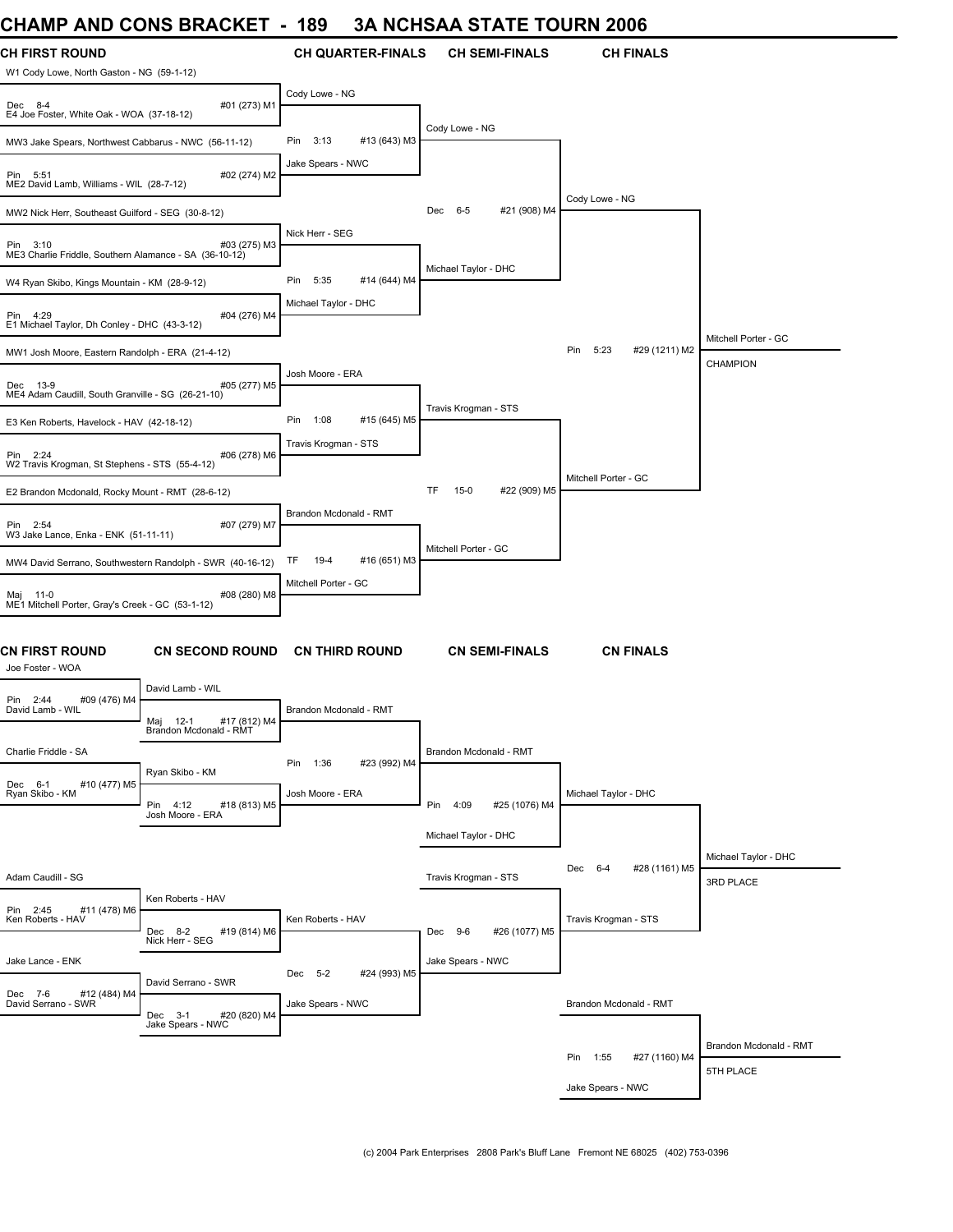#### **CHAMP AND CONS BRACKET - 189 3A NCHSAA STATE TOURN 2006**

| UNAIWIT ANU UUNJ DRAUNEI I                                         |                                              | - 107                  |                          |                        |                       | JA NUNJAA JIAIE IUUKN ZUUD   |                        |
|--------------------------------------------------------------------|----------------------------------------------|------------------------|--------------------------|------------------------|-----------------------|------------------------------|------------------------|
| <b>CH FIRST ROUND</b>                                              |                                              |                        | <b>CH QUARTER-FINALS</b> |                        | <b>CH SEMI-FINALS</b> | <b>CH FINALS</b>             |                        |
| W1 Cody Lowe, North Gaston - NG (59-1-12)                          |                                              |                        |                          |                        |                       |                              |                        |
|                                                                    |                                              | Cody Lowe - NG         |                          |                        |                       |                              |                        |
| Dec 8-4<br>E4 Joe Foster, White Oak - WOA (37-18-12)               | #01 (273) M1                                 |                        |                          |                        |                       |                              |                        |
|                                                                    |                                              | 3:13<br>Pin            | #13 (643) M3             | Cody Lowe - NG         |                       |                              |                        |
| MW3 Jake Spears, Northwest Cabbarus - NWC (56-11-12)               |                                              |                        |                          |                        |                       |                              |                        |
| Pin 5:51                                                           | #02 (274) M2                                 | Jake Spears - NWC      |                          |                        |                       |                              |                        |
| ME2 David Lamb, Williams - WIL (28-7-12)                           |                                              |                        |                          |                        |                       | Cody Lowe - NG               |                        |
| MW2 Nick Herr, Southeast Guilford - SEG (30-8-12)                  |                                              |                        |                          | $6 - 5$<br>Dec         | #21 (908) M4          |                              |                        |
|                                                                    |                                              | Nick Herr - SEG        |                          |                        |                       |                              |                        |
| Pin 3:10<br>ME3 Charlie Friddle, Southern Alamance - SA (36-10-12) | #03 (275) M3                                 |                        |                          |                        |                       |                              |                        |
|                                                                    |                                              | Pin<br>5:35            | #14 (644) M4             | Michael Taylor - DHC   |                       |                              |                        |
| W4 Ryan Skibo, Kings Mountain - KM (28-9-12)                       |                                              |                        |                          |                        |                       |                              |                        |
| Pin 4:29                                                           | #04 (276) M4                                 | Michael Taylor - DHC   |                          |                        |                       |                              |                        |
| E1 Michael Taylor, Dh Conley - DHC (43-3-12)                       |                                              |                        |                          |                        |                       |                              | Mitchell Porter - GC   |
| MW1 Josh Moore, Eastern Randolph - ERA (21-4-12)                   |                                              |                        |                          |                        |                       | 5:23<br>#29 (1211) M2<br>Pin |                        |
|                                                                    |                                              | Josh Moore - ERA       |                          |                        |                       |                              | <b>CHAMPION</b>        |
| Dec 13-9<br>ME4 Adam Caudill, South Granville - SG (26-21-10)      | #05 (277) M5                                 |                        |                          |                        |                       |                              |                        |
| E3 Ken Roberts, Havelock - HAV (42-18-12)                          |                                              | Pin<br>1:08            | #15 (645) M5             | Travis Krogman - STS   |                       |                              |                        |
|                                                                    |                                              | Travis Krogman - STS   |                          |                        |                       |                              |                        |
| Pin 2:24                                                           | #06 (278) M6                                 |                        |                          |                        |                       |                              |                        |
| W2 Travis Krogman, St Stephens - STS (55-4-12)                     |                                              |                        |                          |                        |                       | Mitchell Porter - GC         |                        |
| E2 Brandon Mcdonald, Rocky Mount - RMT (28-6-12)                   |                                              |                        |                          | TF<br>$15-0$           | #22 (909) M5          |                              |                        |
|                                                                    |                                              | Brandon Mcdonald - RMT |                          |                        |                       |                              |                        |
| Pin 2:54<br>W3 Jake Lance, Enka - ENK (51-11-11)                   | #07 (279) M7                                 |                        |                          |                        |                       |                              |                        |
| MW4 David Serrano, Southwestern Randolph - SWR (40-16-12)          |                                              | TF<br>19-4             | #16 (651) M3             | Mitchell Porter - GC   |                       |                              |                        |
|                                                                    |                                              | Mitchell Porter - GC   |                          |                        |                       |                              |                        |
| Maj 11-0<br>ME1 Mitchell Porter, Gray's Creek - GC (53-1-12)       | #08 (280) M8                                 |                        |                          |                        |                       |                              |                        |
|                                                                    |                                              |                        |                          |                        |                       |                              |                        |
|                                                                    |                                              |                        |                          |                        |                       |                              |                        |
| <b>CN FIRST ROUND</b>                                              | <b>CN SECOND ROUND</b>                       |                        | <b>CN THIRD ROUND</b>    |                        | <b>CN SEMI-FINALS</b> | <b>CN FINALS</b>             |                        |
| Joe Foster - WOA                                                   |                                              |                        |                          |                        |                       |                              |                        |
| Pin 2:44<br>#09 (476) M4                                           | David Lamb - WIL                             |                        |                          |                        |                       |                              |                        |
| David Lamb - WIL                                                   | Mai 12-1<br>#17 (812) M4                     | Brandon Mcdonald - RMT |                          |                        |                       |                              |                        |
|                                                                    | Brandon Mcdonald - RMT                       |                        |                          |                        |                       |                              |                        |
| Charlie Friddle - SA                                               |                                              | Pin<br>1:36            | #23 (992) M4             | Brandon Mcdonald - RMT |                       |                              |                        |
| Dec 6-1<br>#10 (477) M5                                            | Ryan Skibo - KM                              |                        |                          |                        |                       |                              |                        |
| Ryan Skibo - KM                                                    | Pin 4:12<br>#18 (813) M5                     | Josh Moore - ERA       |                          | Pin 4:09               | #25 (1076) M4         | Michael Taylor - DHC         |                        |
|                                                                    | Josh Moore - ERA                             |                        |                          |                        |                       |                              |                        |
|                                                                    |                                              |                        |                          | Michael Taylor - DHC   |                       |                              |                        |
|                                                                    |                                              |                        |                          |                        |                       |                              | Michael Taylor - DHC   |
| Adam Caudill - SG                                                  |                                              |                        |                          | Travis Krogman - STS   |                       | #28 (1161) M5<br>Dec<br>6-4  | 3RD PLACE              |
|                                                                    | Ken Roberts - HAV                            |                        |                          |                        |                       |                              |                        |
| #11 (478) M6<br>Pin 2:45<br>Ken Roberts - HAV                      |                                              | Ken Roberts - HAV      |                          |                        |                       | Travis Krogman - STS         |                        |
|                                                                    | Dec 8-2<br>#19 (814) M6<br>Nick Herr - SEG   |                        |                          | Dec 9-6                | #26 (1077) M5         |                              |                        |
| Jake Lance - ENK                                                   |                                              |                        |                          | Jake Spears - NWC      |                       |                              |                        |
|                                                                    | David Serrano - SWR                          | Dec 5-2                | #24 (993) M5             |                        |                       |                              |                        |
| Dec 7-6<br>#12 (484) M4<br>David Serrano - SWR                     |                                              | Jake Spears - NWC      |                          |                        |                       | Brandon Mcdonald - RMT       |                        |
|                                                                    | #20 (820) M4<br>Dec 3-1<br>Jake Spears - NWC |                        |                          |                        |                       |                              |                        |
|                                                                    |                                              |                        |                          |                        |                       |                              | Brandon Mcdonald - RMT |
|                                                                    |                                              |                        |                          |                        |                       | Pin 1:55<br>#27 (1160) M4    |                        |
|                                                                    |                                              |                        |                          |                        |                       | Jake Spears - NWC            | 5TH PLACE              |
|                                                                    |                                              |                        |                          |                        |                       |                              |                        |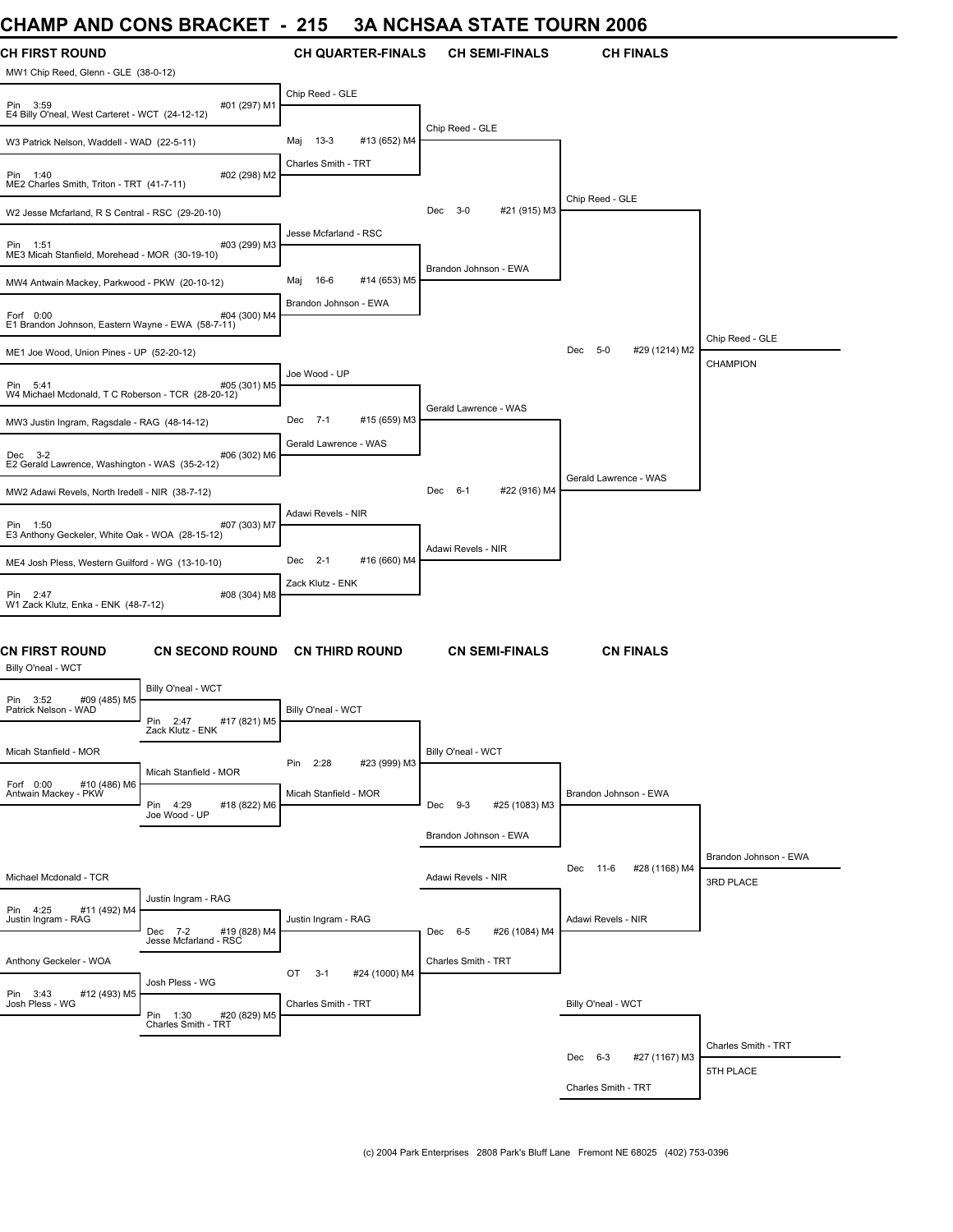#### **CHAMP AND CONS BRACKET - 215 3A NCHSAA STATE TOURN 2006**

| UIAME AND CONS DIVACILI                                                        |                                                   | 4 I J                         | <u>JA NUHJAA JI ATE TUUNN 2000</u> |                                 |                       |
|--------------------------------------------------------------------------------|---------------------------------------------------|-------------------------------|------------------------------------|---------------------------------|-----------------------|
| CH FIRST ROUND<br>MW1 Chip Reed, Glenn - GLE (38-0-12)                         |                                                   | <b>CH QUARTER-FINALS</b>      | <b>CH SEMI-FINALS</b>              | <b>CH FINALS</b>                |                       |
| #01 (297) M1<br>Pin 3:59<br>E4 Billy O'neal, West Carteret - WCT (24-12-12)    |                                                   | Chip Reed - GLE               |                                    |                                 |                       |
| W3 Patrick Nelson, Waddell - WAD (22-5-11)                                     |                                                   | $13-3$<br>#13 (652) M4<br>Мај | Chip Reed - GLE                    |                                 |                       |
| #02 (298) M2<br>Pin<br>1:40<br>ME2 Charles Smith, Triton - TRT (41-7-11)       |                                                   | Charles Smith - TRT           |                                    |                                 |                       |
| W2 Jesse Mcfarland, R S Central - RSC (29-20-10)                               |                                                   |                               | Dec 3-0<br>#21 (915) M3            | Chip Reed - GLE                 |                       |
| #03 (299) M3<br>Pin 1:51<br>ME3 Micah Stanfield, Morehead - MOR (30-19-10)     |                                                   | Jesse Mcfarland - RSC         |                                    |                                 |                       |
| MW4 Antwain Mackey, Parkwood - PKW (20-10-12)                                  |                                                   | 16-6<br>#14 (653) M5<br>Maj   | Brandon Johnson - EWA              |                                 |                       |
| Forf 0:00<br>E1 Brandon Johnson, Eastern Wayne - EWA (58-7-11)                 | #04 (300) M4                                      | Brandon Johnson - EWA         |                                    |                                 |                       |
| ME1 Joe Wood, Union Pines - UP (52-20-12)                                      |                                                   |                               |                                    | $5 - 0$<br>#29 (1214) M2<br>Dec | Chip Reed - GLE       |
| #05 (301) M5<br>Pin 5:41<br>W4 Michael Mcdonald, T C Roberson - TCR (28-20-12) |                                                   | Joe Wood - UP                 |                                    |                                 | <b>CHAMPION</b>       |
|                                                                                |                                                   | Dec 7-1<br>#15 (659) M3       | Gerald Lawrence - WAS              |                                 |                       |
| MW3 Justin Ingram, Ragsdale - RAG (48-14-12)<br>#06 (302) M6<br>Dec 3-2        |                                                   | Gerald Lawrence - WAS         |                                    |                                 |                       |
| E2 Gerald Lawrence, Washington - WAS (35-2-12)                                 |                                                   |                               |                                    | Gerald Lawrence - WAS           |                       |
| MW2 Adawi Revels, North Iredell - NIR (38-7-12)                                |                                                   |                               | Dec 6-1<br>#22 (916) M4            |                                 |                       |
| #07 (303) M7<br>Pin 1:50<br>E3 Anthony Geckeler, White Oak - WOA (28-15-12)    |                                                   | Adawi Revels - NIR            | Adawi Revels - NIR                 |                                 |                       |
| ME4 Josh Pless, Western Guilford - WG (13-10-10)                               |                                                   | Dec 2-1<br>#16 (660) M4       |                                    |                                 |                       |
| Pin 2:47<br>#08 (304) M8<br>W1 Zack Klutz, Enka - ENK (48-7-12)                |                                                   | Zack Klutz - ENK              |                                    |                                 |                       |
| CN FIRST ROUND<br>Billy O'neal - WCT                                           | <b>CN SECOND ROUND</b>                            | <b>CN THIRD ROUND</b>         | <b>CN SEMI-FINALS</b>              | <b>CN FINALS</b>                |                       |
| #09 (485) M5<br>Pin 3:52                                                       | Billy O'neal - WCT                                |                               |                                    |                                 |                       |
| Patrick Nelson - WAD                                                           | Pin<br>2:47<br>#17 (821) M5<br>Zack Klutz - ENK   | Billy O'neal - WCT            |                                    |                                 |                       |
| Micah Stanfield - MOR                                                          |                                                   | #23 (999) M3<br>2:28<br>Pin   | Billy O'neal - WCT                 |                                 |                       |
| Forf 0:00<br>#10 (486) M6<br>Antwain Mackey - PKW                              | Micah Stanfield - MOR<br>Pin 4:29<br>#18 (822) M6 | Micah Stanfield - MOR         | Dec 9-3<br>#25 (1083) M3           | Brandon Johnson - EWA           |                       |
|                                                                                | Joe Wood - UP                                     |                               |                                    |                                 |                       |
|                                                                                |                                                   |                               | Brandon Johnson - EWA              |                                 | Brandon Johnson - EWA |
| Michael Mcdonald - TCR                                                         |                                                   |                               | Adawi Revels - NIR                 | #28 (1168) M4<br>Dec<br>11-6    | 3RD PLACE             |
| Pin 4:25<br>#11 (492) M4<br>Justin Ingram - RAG                                | Justin Ingram - RAG<br>#19 (828) M4<br>Dec 7-2    | Justin Ingram - RAG           | Dec 6-5<br>#26 (1084) M4           | Adawi Revels - NIR              |                       |
| Anthony Geckeler - WOA                                                         | Jesse Mcfarland - RSC                             |                               | Charles Smith - TRT                |                                 |                       |
|                                                                                | Josh Pless - WG                                   | OT<br>$3-1$<br>#24 (1000) M4  |                                    |                                 |                       |
| Pin 3:43<br>#12 (493) M5<br>Josh Pless - WG                                    | Pin 1:30<br>#20 (829) M5<br>Charles Smith - TRT   | Charles Smith - TRT           |                                    | Billy O'neal - WCT              |                       |
|                                                                                |                                                   |                               |                                    |                                 | Charles Smith - TRT   |
|                                                                                |                                                   |                               |                                    | #27 (1167) M3<br>Dec 6-3        | 5TH PLACE             |
|                                                                                |                                                   |                               |                                    | Charles Smith - TRT             |                       |
|                                                                                |                                                   |                               |                                    |                                 |                       |